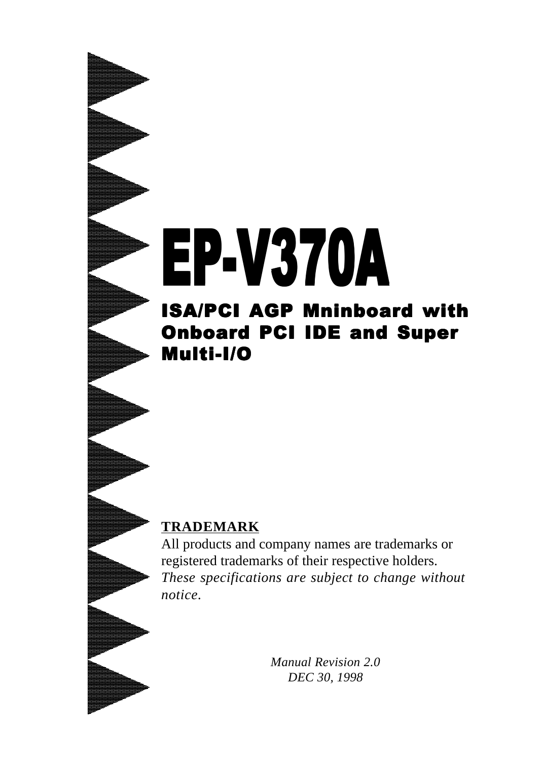# **EP-V370A** ISA/PCI AGP Mninboard with **Onboard PCI IDE and Super** Multi-I/O

### **TRADEMARK**

All products and company names are trademarks or registered trademarks of their respective holders. *These specifications are subject to change without notice.*

> *Manual Revision 2.0 DEC 30, 1998*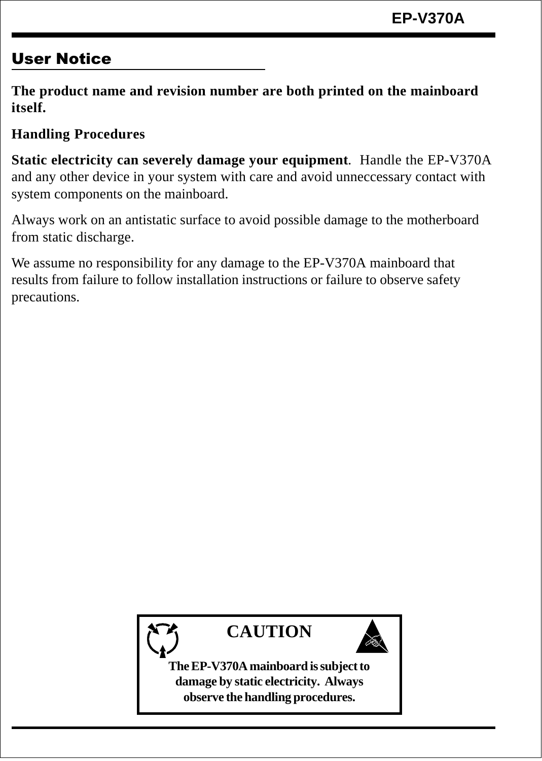### User Notice

**The product name and revision number are both printed on the mainboard itself.**

### **Handling Procedures**

**Static electricity can severely damage your equipment**. Handle the EP-V370A and any other device in your system with care and avoid unneccessary contact with system components on the mainboard.

Always work on an antistatic surface to avoid possible damage to the motherboard from static discharge.

We assume no responsibility for any damage to the EP-V370A mainboard that results from failure to follow installation instructions or failure to observe safety precautions.



**CAUTION**



**The EP-V370A mainboard is subject to damage by static electricity. Always observe the handling procedures.**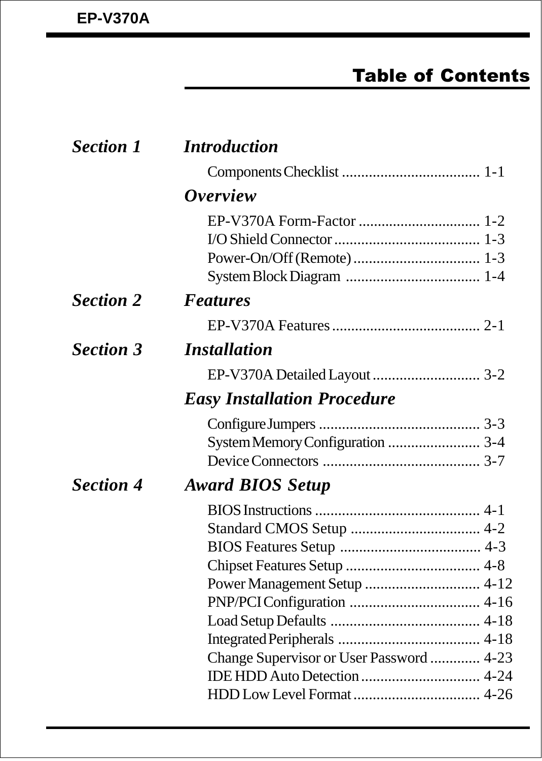# Table of Contents

| <b>Section 1</b> | <i>Introduction</i>                      |
|------------------|------------------------------------------|
|                  |                                          |
|                  | Overview                                 |
|                  |                                          |
| <b>Section 2</b> | <b>Features</b>                          |
|                  |                                          |
| <b>Section 3</b> | <i><b>Installation</b></i>               |
|                  |                                          |
|                  | <b>Easy Installation Procedure</b>       |
|                  | System Memory Configuration  3-4         |
| <b>Section 4</b> | <b>Award BIOS Setup</b>                  |
|                  | Change Supervisor or User Password  4-23 |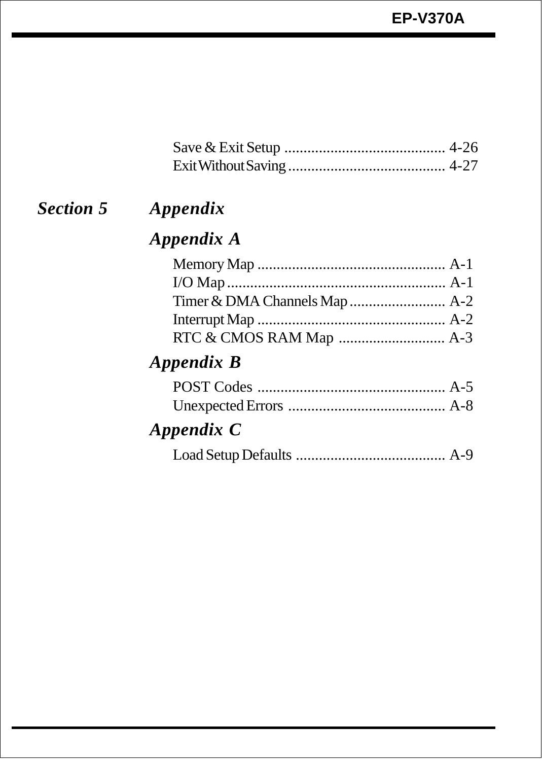# *Section 5 Appendix*

# *Appendix A*

# *Appendix B*

# *Appendix C*

|--|--|--|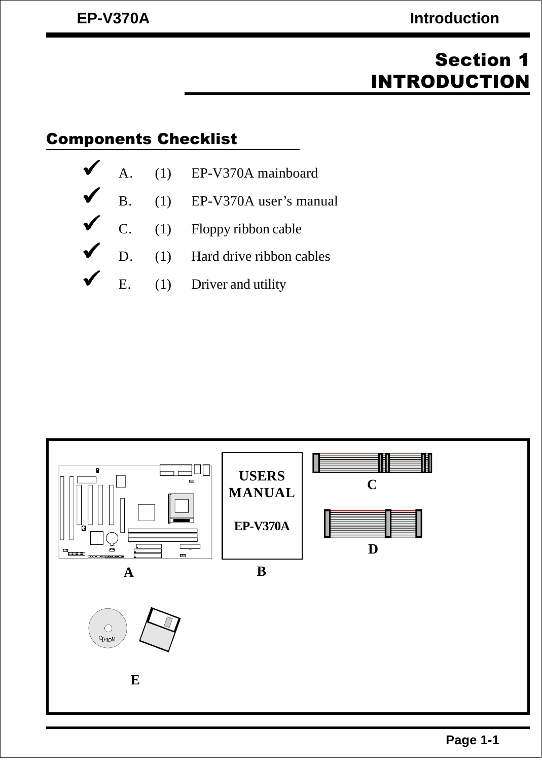### Section 1 INTRODUCTION

### Components Checklist

- ü A. (1) EP-V370A mainboard
- B. (1) EP-V370A user's manual
- C. (1) Floppy ribbon cable
- D. (1) Hard drive ribbon cables
- E.  $(1)$  Driver and utility

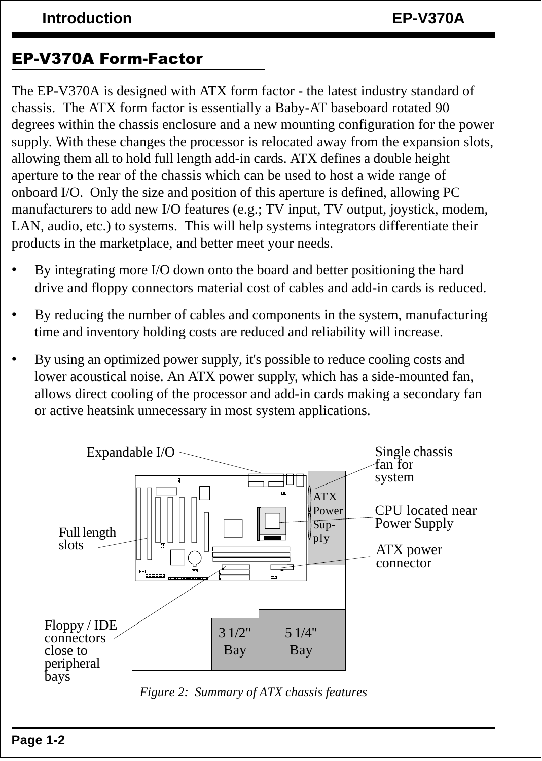### EP-V370A Form-Factor

The EP-V370A is designed with ATX form factor - the latest industry standard of chassis. The ATX form factor is essentially a Baby-AT baseboard rotated 90 degrees within the chassis enclosure and a new mounting configuration for the power supply. With these changes the processor is relocated away from the expansion slots, allowing them all to hold full length add-in cards. ATX defines a double height aperture to the rear of the chassis which can be used to host a wide range of onboard I/O. Only the size and position of this aperture is defined, allowing PC manufacturers to add new I/O features (e.g.; TV input, TV output, joystick, modem, LAN, audio, etc.) to systems. This will help systems integrators differentiate their products in the marketplace, and better meet your needs.

- By integrating more I/O down onto the board and better positioning the hard drive and floppy connectors material cost of cables and add-in cards is reduced.
- By reducing the number of cables and components in the system, manufacturing time and inventory holding costs are reduced and reliability will increase.
- By using an optimized power supply, it's possible to reduce cooling costs and lower acoustical noise. An ATX power supply, which has a side-mounted fan, allows direct cooling of the processor and add-in cards making a secondary fan or active heatsink unnecessary in most system applications.



*Figure 2: Summary of ATX chassis features*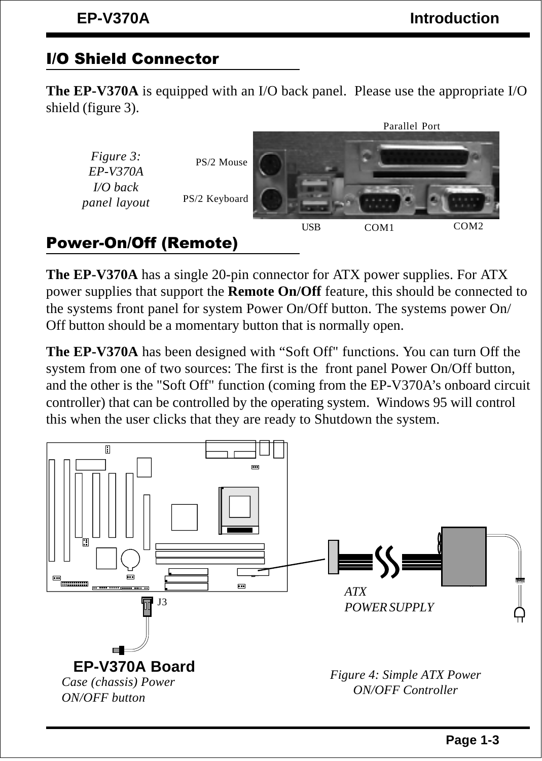### I/O Shield Connector

**The EP-V370A** is equipped with an I/O back panel. Please use the appropriate I/O shield (figure 3).



### Power-On/Off (Remote)

**The EP-V370A** has a single 20-pin connector for ATX power supplies. For ATX power supplies that support the **Remote On/Off** feature, this should be connected to the systems front panel for system Power On/Off button. The systems power On/ Off button should be a momentary button that is normally open.

**The EP-V370A** has been designed with "Soft Off" functions. You can turn Off the system from one of two sources: The first is the front panel Power On/Off button, and the other is the "Soft Off" function (coming from the EP-V370A's onboard circuit controller) that can be controlled by the operating system. Windows 95 will control this when the user clicks that they are ready to Shutdown the system.

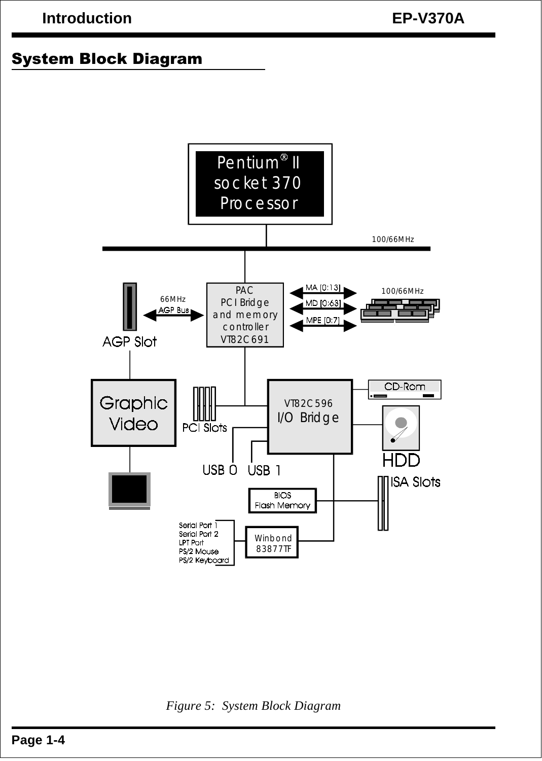### System Block Diagram



*Figure 5: System Block Diagram*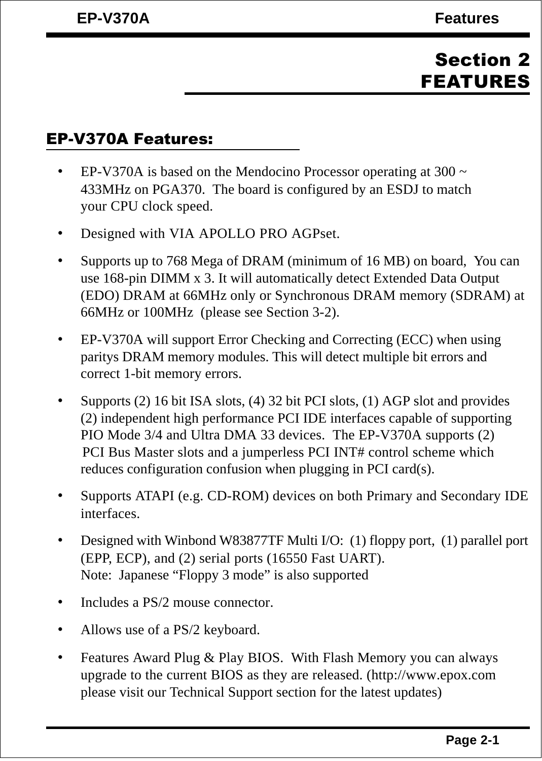### Section 2 FEATURES

### EP-V370A Features:

- EP-V370A is based on the Mendocino Processor operating at  $300 \sim$ 433MHz on PGA370. The board is configured by an ESDJ to match your CPU clock speed.
- Designed with VIA APOLLO PRO AGPset.
- Supports up to 768 Mega of DRAM (minimum of 16 MB) on board, You can use 168-pin DIMM x 3. It will automatically detect Extended Data Output (EDO) DRAM at 66MHz only or Synchronous DRAM memory (SDRAM) at 66MHz or 100MHz (please see Section 3-2).
- EP-V370A will support Error Checking and Correcting (ECC) when using paritys DRAM memory modules. This will detect multiple bit errors and correct 1-bit memory errors.
- Supports (2) 16 bit ISA slots, (4) 32 bit PCI slots, (1) AGP slot and provides (2) independent high performance PCI IDE interfaces capable of supporting PIO Mode 3/4 and Ultra DMA 33 devices. The EP-V370A supports (2) PCI Bus Master slots and a jumperless PCI INT# control scheme which reduces configuration confusion when plugging in PCI card(s).
- Supports ATAPI (e.g. CD-ROM) devices on both Primary and Secondary IDE interfaces.
- Designed with Winbond W83877TF Multi I/O: (1) floppy port, (1) parallel port (EPP, ECP), and (2) serial ports (16550 Fast UART). Note: Japanese "Floppy 3 mode" is also supported
- Includes a PS/2 mouse connector.
- Allows use of a PS/2 keyboard.
- Features Award Plug & Play BIOS. With Flash Memory you can always upgrade to the current BIOS as they are released. (http://www.epox.com please visit our Technical Support section for the latest updates)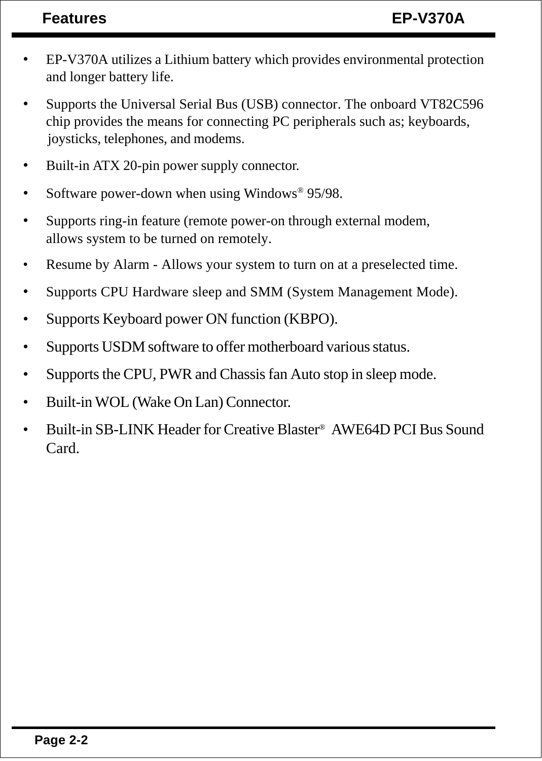- EP-V370A utilizes a Lithium battery which provides environmental protection and longer battery life.
- Supports the Universal Serial Bus (USB) connector. The onboard VT82C596 chip provides the means for connecting PC peripherals such as; keyboards, joysticks, telephones, and modems.
- Built-in ATX 20-pin power supply connector.
- Software power-down when using Windows® 95/98.
- Supports ring-in feature (remote power-on through external modem, allows system to be turned on remotely.
- Resume by Alarm Allows your system to turn on at a preselected time.
- Supports CPU Hardware sleep and SMM (System Management Mode).
- Supports Keyboard power ON function (KBPO).
- Supports USDM software to offer motherboard various status.
- Supports the CPU, PWR and Chassis fan Auto stop in sleep mode.
- Built-in WOL (Wake On Lan) Connector.
- Built-in SB-LINK Header for Creative Blaster® AWE64D PCI Bus Sound Card.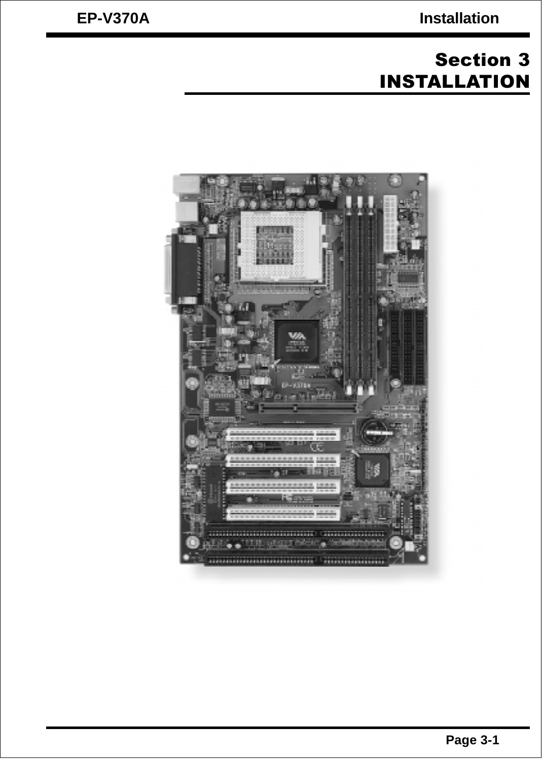# Section 3 INSTALLATION

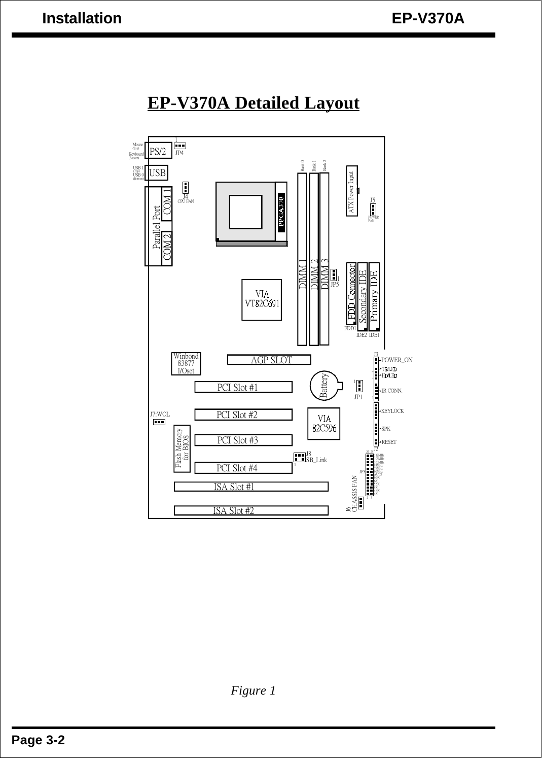



*Figure 1*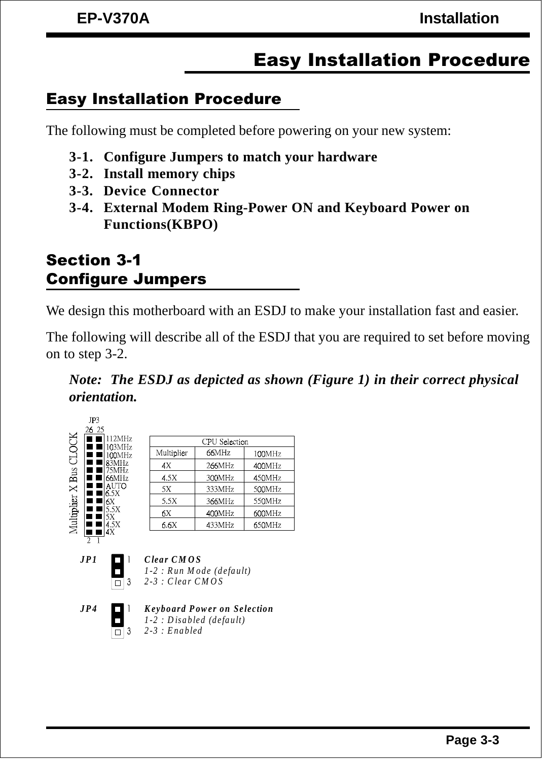## Easy Installation Procedure

### Easy Installation Procedure

The following must be completed before powering on your new system:

- **3-1. Configure Jumpers to match your hardware**
- **3-2. Install memory chips**
- **3-3. Device Connector**
- **3-4. External Modem Ring-Power ON and Keyboard Power on Functions(KBPO)**

### Section 3-1 Configure Jumpers

We design this motherboard with an ESDJ to make your installation fast and easier.

The following will describe all of the ESDJ that you are required to set before moving on to step 3-2.

*Note: The ESDJ as depicted as shown (Figure 1) in their correct physical orientation.*

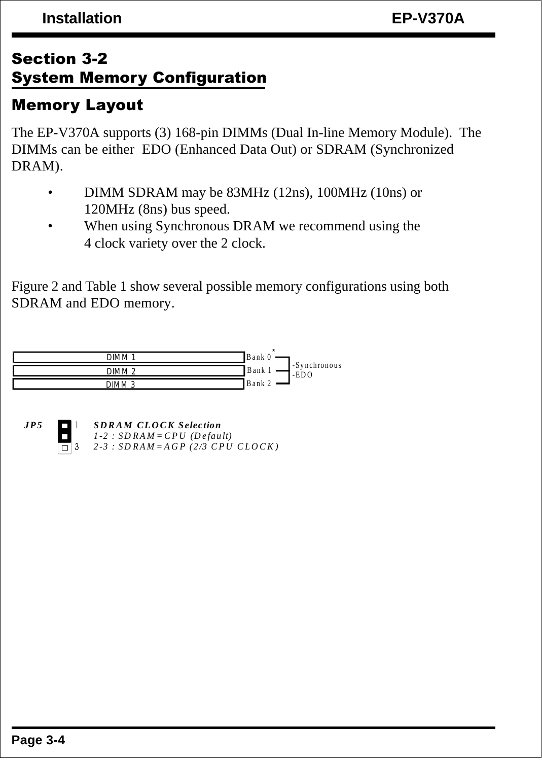### Section 3-2 System Memory Configuration

### Memory Layout

The EP-V370A supports (3) 168-pin DIMMs (Dual In-line Memory Module). The DIMMs can be either EDO (Enhanced Data Out) or SDRAM (Synchronized DRAM).

- DIMM SDRAM may be 83MHz (12ns), 100MHz (10ns) or 120MHz (8ns) bus speed.
- When using Synchronous DRAM we recommend using the 4 clock variety over the 2 clock.

Figure 2 and Table 1 show several possible memory configurations using both SDRAM and EDO memory.

| DIMM | $\star$<br>Bank |                       |
|------|-----------------|-----------------------|
| MMN  | Bank            | -Synchronous<br>⊓-ED∪ |
| DIMM | Bank            |                       |



*JP5* **SDRAM CLOCK Selection**<br>1-2 : SDRAM = CPU (Defau<br> $\Box$  3 2-3 : SDRAM = AGP (2/3 CP

- - *1-2 : SD RA M = C P U (D efault) 2-3 : SD RAM = AG P (2/3 CPU CLO CK )*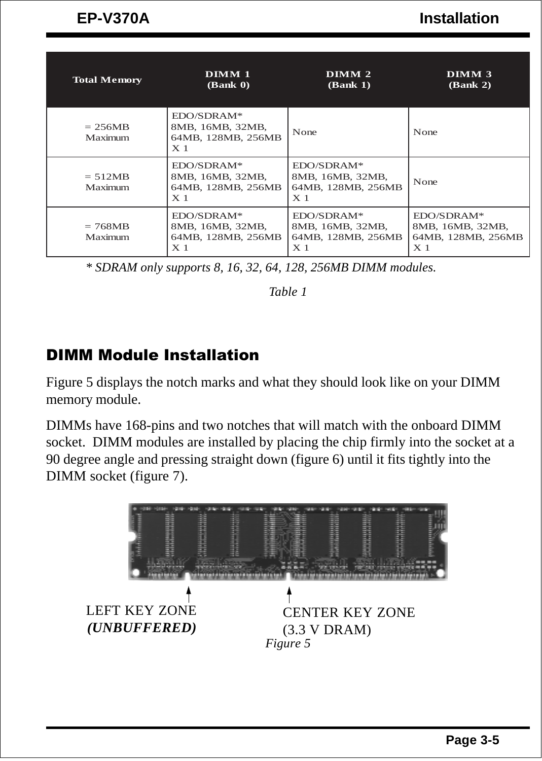| <b>Total Memory</b>  | DMM1<br>(Bank 0)                                                         | DIMM <sub>2</sub><br>(Bank 1)                                            | DIMM <sub>3</sub><br>(Bank 2)                                            |
|----------------------|--------------------------------------------------------------------------|--------------------------------------------------------------------------|--------------------------------------------------------------------------|
| $= 256MB$<br>Maximum | EDO/SDRAM*<br>8MB, 16MB, 32MB,<br>64MB, 128MB, 256MB<br>X <sub>1</sub>   | None                                                                     | None                                                                     |
| $= 512MB$<br>Maximum | $EDO/SDRAM*$<br>8MB, 16MB, 32MB,<br>64MB, 128MB, 256MB<br>X <sub>1</sub> | $EDO/SDRAM*$<br>8MB, 16MB, 32MB,<br>64MB, 128MB, 256MB<br>X <sub>1</sub> | None                                                                     |
| $= 768MB$<br>Maximum | $EDO/SDRAM*$<br>8MB, 16MB, 32MB,<br>64MB, 128MB, 256MB<br>X <sub>1</sub> | EDO/SDRAM*<br>8MB, 16MB, 32MB,<br>64MB, 128MB, 256MB<br>X <sub>1</sub>   | $EDO/SDRAM*$<br>8MB, 16MB, 32MB,<br>64MB, 128MB, 256MB<br>X <sub>1</sub> |

 *\* SDRAM only supports 8, 16, 32, 64, 128, 256MB DIMM modules.*

*Table 1*

### DIMM Module Installation

Figure 5 displays the notch marks and what they should look like on your DIMM memory module.

DIMMs have 168-pins and two notches that will match with the onboard DIMM socket. DIMM modules are installed by placing the chip firmly into the socket at a 90 degree angle and pressing straight down (figure 6) until it fits tightly into the DIMM socket (figure 7).

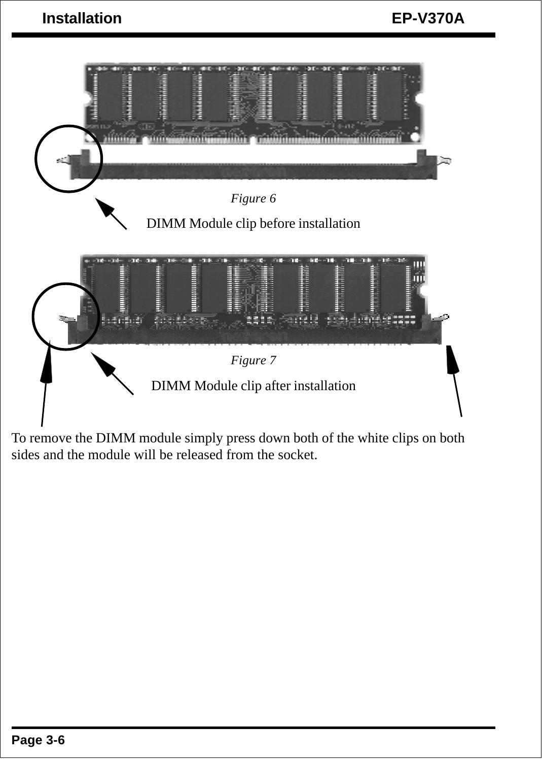

To remove the DIMM module simply press down both of the white clips on both sides and the module will be released from the socket.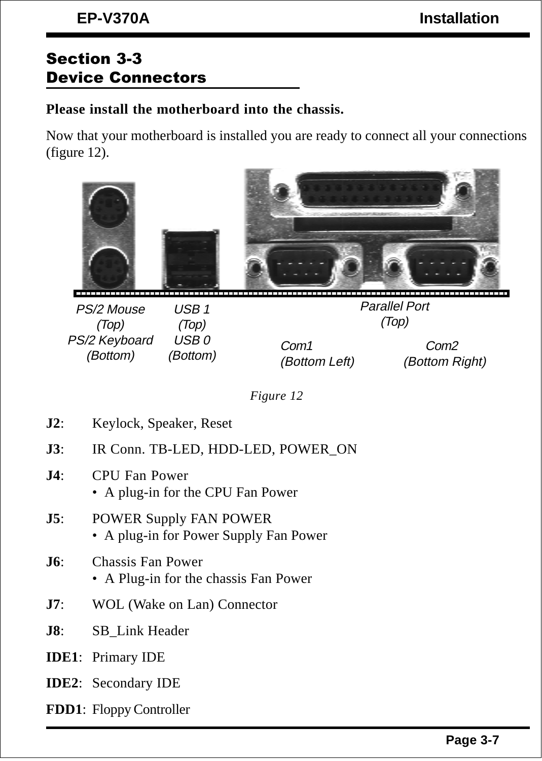### Section 3-3 Device Connectors

#### **Please install the motherboard into the chassis.**

Now that your motherboard is installed you are ready to connect all your connections (figure 12).



*Figure 12*

- **J2**: Keylock, Speaker, Reset
- **J3**: IR Conn. TB-LED, HDD-LED, POWER\_ON
- **J4**: CPU Fan Power
	- A plug-in for the CPU Fan Power
- **J5**: POWER Supply FAN POWER • A plug-in for Power Supply Fan Power
- **J6**: Chassis Fan Power • A Plug-in for the chassis Fan Power
- **J7**: WOL (Wake on Lan) Connector
- **J8**: SB\_Link Header
- **IDE1**: Primary IDE
- **IDE2**: Secondary IDE
- **FDD1**: Floppy Controller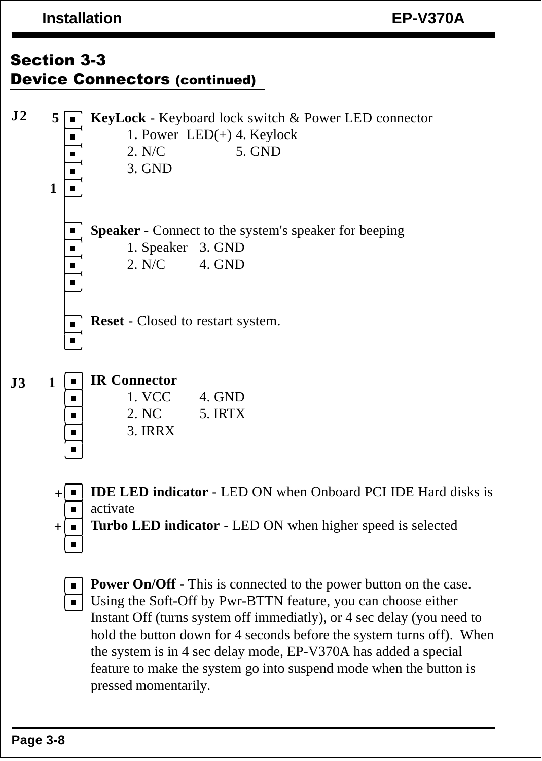### Section 3-3 Device Connectors (continued)

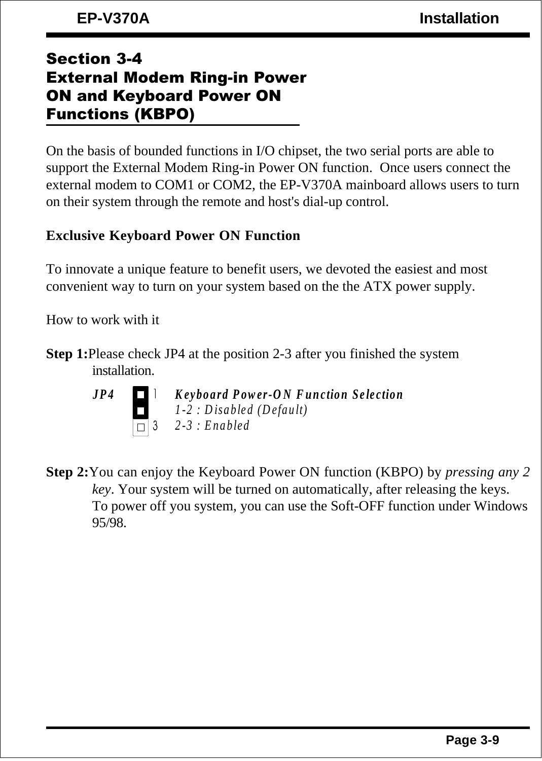### Section 3-4 External Modem Ring-in Power ON and Keyboard Power ON Functions (KBPO)

On the basis of bounded functions in I/O chipset, the two serial ports are able to support the External Modem Ring-in Power ON function. Once users connect the external modem to COM1 or COM2, the EP-V370A mainboard allows users to turn on their system through the remote and host's dial-up control.

### **Exclusive Keyboard Power ON Function**

To innovate a unique feature to benefit users, we devoted the easiest and most convenient way to turn on your system based on the the ATX power supply.

How to work with it

**Step 1:**Please check JP4 at the position 2-3 after you finished the system installation.



*JP4 K eyboard P ower-O N F unction Selection 1-2 : 2-3 : D isabled (D efault) Enabled*

**Step 2:**You can enjoy the Keyboard Power ON function (KBPO) by *pressing any 2 key*. Your system will be turned on automatically, after releasing the keys. To power off you system, you can use the Soft-OFF function under Windows 95/98.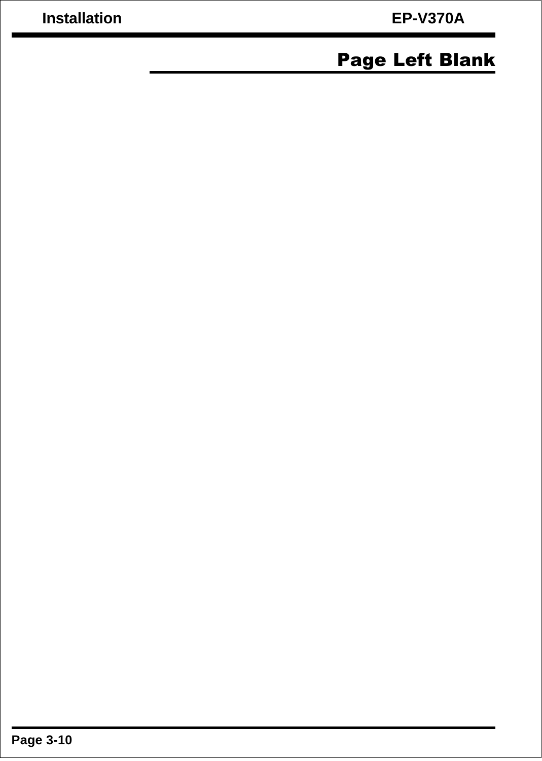# Page Left Blank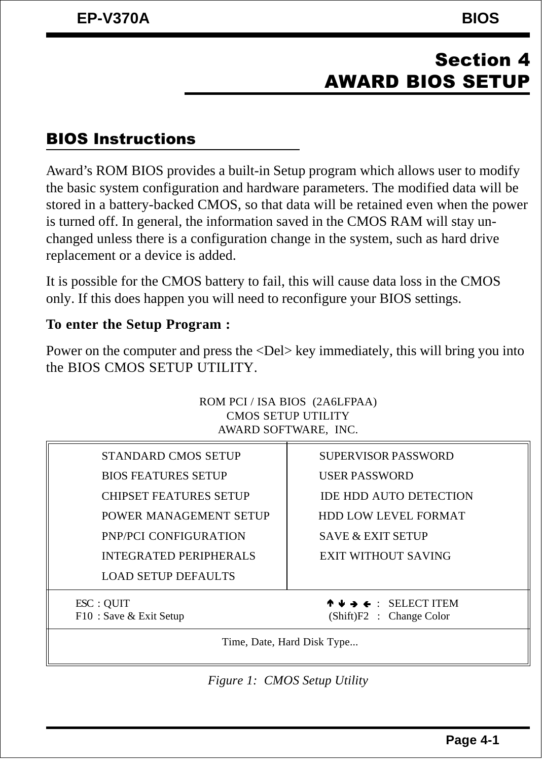### Section 4 AWARD BIOS SETUP

### BIOS Instructions

Award's ROM BIOS provides a built-in Setup program which allows user to modify the basic system configuration and hardware parameters. The modified data will be stored in a battery-backed CMOS, so that data will be retained even when the power is turned off. In general, the information saved in the CMOS RAM will stay unchanged unless there is a configuration change in the system, such as hard drive replacement or a device is added.

It is possible for the CMOS battery to fail, this will cause data loss in the CMOS only. If this does happen you will need to reconfigure your BIOS settings.

#### **To enter the Setup Program :**

Power on the computer and press the <Del> key immediately, this will bring you into the BIOS CMOS SETUP UTILITY.

ROM PCI / ISA BIOS (2A6LFPAA)

| $1.01$ $1.01$ $1.01$ $1.00$ $1.01$ $1.01$<br><b>CMOS SETUP UTILITY</b><br>AWARD SOFTWARE, INC.                                    |                               |  |  |  |
|-----------------------------------------------------------------------------------------------------------------------------------|-------------------------------|--|--|--|
| STANDARD CMOS SETUP                                                                                                               | <b>SUPERVISOR PASSWORD</b>    |  |  |  |
| <b>BIOS FEATURES SETUP</b>                                                                                                        | USER PASSWORD                 |  |  |  |
| <b>CHIPSET FEATURES SETUP</b>                                                                                                     | <b>IDE HDD AUTO DETECTION</b> |  |  |  |
| POWER MANAGEMENT SETUP                                                                                                            | <b>HDD LOW LEVEL FORMAT</b>   |  |  |  |
| PNP/PCI CONFIGURATION                                                                                                             | <b>SAVE &amp; EXIT SETUP</b>  |  |  |  |
| INTEGRATED PERIPHERALS                                                                                                            | EXIT WITHOUT SAVING           |  |  |  |
| <b>LOAD SETUP DEFAULTS</b>                                                                                                        |                               |  |  |  |
| ESC : QUIT<br>$\uparrow \downarrow \rightarrow \leftarrow$ : SELECT ITEM<br>F10 : Save & Exit Setup<br>$(Shift)F2$ : Change Color |                               |  |  |  |
| Time, Date, Hard Disk Type                                                                                                        |                               |  |  |  |

*Figure 1: CMOS Setup Utility*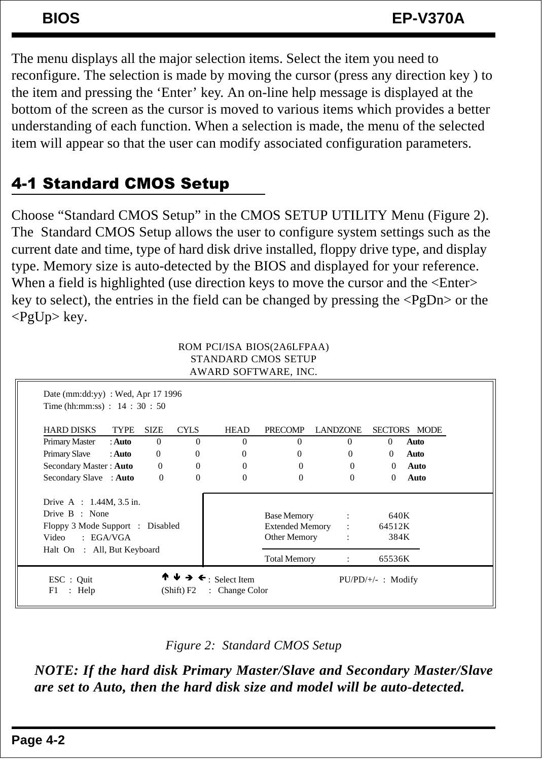The menu displays all the major selection items. Select the item you need to reconfigure. The selection is made by moving the cursor (press any direction key ) to the item and pressing the 'Enter' key. An on-line help message is displayed at the bottom of the screen as the cursor is moved to various items which provides a better understanding of each function. When a selection is made, the menu of the selected item will appear so that the user can modify associated configuration parameters.

### 4-1 Standard CMOS Setup

Choose "Standard CMOS Setup" in the CMOS SETUP UTILITY Menu (Figure 2). The Standard CMOS Setup allows the user to configure system settings such as the current date and time, type of hard disk drive installed, floppy drive type, and display type. Memory size is auto-detected by the BIOS and displayed for your reference. When a field is highlighted (use direction keys to move the cursor and the  $\leq$ Enter $>$ key to select), the entries in the field can be changed by pressing the <PgDn> or the  $<$ PgUp $>$  key.

> ROM PCI/ISA BIOS(2A6LFPAA) STANDARD CMOS SETUP AWARD SOFTWARE, INC.

| HARD DISKS                                                                                                              | <b>TYPE</b>          | <b>SIZE</b> | <b>CYLS</b> | <b>HEAD</b> | <b>PRECOMP</b>                                               | LANDZONE                                     |                        | SECTORS MODE |
|-------------------------------------------------------------------------------------------------------------------------|----------------------|-------------|-------------|-------------|--------------------------------------------------------------|----------------------------------------------|------------------------|--------------|
| Primary Master                                                                                                          | : Auto               | $\Omega$    | $\Omega$    | $\Omega$    | $\Omega$                                                     | 0                                            | $\Omega$               | Auto         |
| Primary Slave                                                                                                           | : Auto               | $\Omega$    | $\Omega$    | $\Omega$    | $\Omega$                                                     | $\Omega$                                     | $\Omega$               | Auto         |
| Secondary Master: Auto                                                                                                  |                      | $\Omega$    | $\Omega$    | $\Omega$    | $\Omega$                                                     | $\Omega$                                     | $\Omega$               | Auto         |
| Secondary Slave : Auto                                                                                                  |                      | $\Omega$    | $\Omega$    | $\Omega$    | $\Omega$                                                     | $\Omega$                                     | $\Omega$               | Auto         |
| Drive $A : 1.44M, 3.5$ in.<br>Drive B: None<br>Floppy 3 Mode Support : Disabled<br>Video<br>Halt On : All, But Keyboard | $\therefore$ EGA/VGA |             |             |             | <b>Base Memory</b><br><b>Extended Memory</b><br>Other Memory | $\ddot{\phantom{a}}$<br>$\ddot{\phantom{a}}$ | 640K<br>64512K<br>384K |              |

*Figure 2: Standard CMOS Setup*

*NOTE: If the hard disk Primary Master/Slave and Secondary Master/Slave are set to Auto, then the hard disk size and model will be auto-detected.*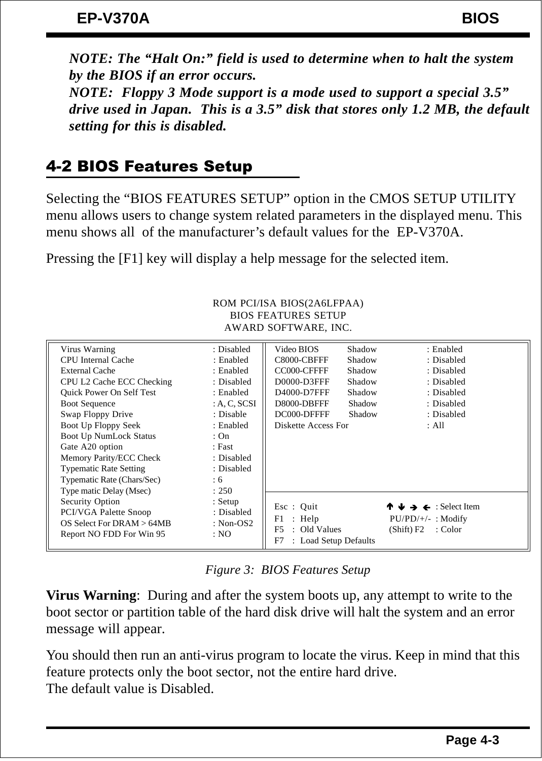*NOTE: Floppy 3 Mode support is a mode used to support a special 3.5" drive used in Japan. This is a 3.5" disk that stores only 1.2 MB, the default setting for this is disabled.*

### 4-2 BIOS Features Setup

Selecting the "BIOS FEATURES SETUP" option in the CMOS SETUP UTILITY menu allows users to change system related parameters in the displayed menu. This menu shows all of the manufacturer's default values for the EP-V370A.

Pressing the [F1] key will display a help message for the selected item.

| Virus Warning<br><b>CPU</b> Internal Cache<br>External Cache<br>CPU L2 Cache ECC Checking<br><b>Ouick Power On Self Test</b><br><b>Boot Sequence</b><br>Swap Floppy Drive<br>Boot Up Floppy Seek<br><b>Boot Up NumLock Status</b><br>Gate A20 option<br>Memory Parity/ECC Check<br><b>Typematic Rate Setting</b><br>Typematic Rate (Chars/Sec) | : Disabled<br>: Enabled<br>: Enabled<br>: Disabled<br>: Enabled<br>: A, C, SCSI<br>: Disable<br>: Enabled<br>: On<br>: Fast<br>: Disabled<br>: Disabled<br>: 6<br>: 250 | Video BIOS<br>C8000-CBFFF<br>CC000-CFFFF<br>D0000-D3FFF<br>D4000-D7FFF<br>D8000-DBFFF<br>DC000-DFFFF<br>Diskette Access For | Shadow<br>Shadow<br>Shadow<br>Shadow<br>Shadow<br>Shadow<br>Shadow | : Enabled<br>: Disabled<br>: Disabled<br>: Disabled<br>: Disabled<br>: Disabled<br>: Disabled<br>: All |
|------------------------------------------------------------------------------------------------------------------------------------------------------------------------------------------------------------------------------------------------------------------------------------------------------------------------------------------------|-------------------------------------------------------------------------------------------------------------------------------------------------------------------------|-----------------------------------------------------------------------------------------------------------------------------|--------------------------------------------------------------------|--------------------------------------------------------------------------------------------------------|
| Type matic Delay (Msec)<br>Security Option<br>PCI/VGA Palette Snoop<br>$OS$ Select For DRAM $> 64MB$<br>Report NO FDD For Win 95                                                                                                                                                                                                               | $:$ Setup<br>: Disabled<br>: Non-OS2<br>: NO                                                                                                                            | Esc : Quit<br>F1<br>$\therefore$ Help<br>: Old Values<br>F5<br>F7<br>: Load Setup Defaults                                  |                                                                    | $\triangle$ : Select Item<br>$PU/PD/+/-$ : Modify<br>(Shift) F2<br>: Color                             |

#### ROM PCI/ISA BIOS(2A6LFPAA) BIOS FEATURES SETUP AWARD SOFTWARE, INC.

*Figure 3: BIOS Features Setup*

**Virus Warning**:During and after the system boots up, any attempt to write to the boot sector or partition table of the hard disk drive will halt the system and an error message will appear.

You should then run an anti-virus program to locate the virus. Keep in mind that this feature protects only the boot sector, not the entire hard drive. The default value is Disabled.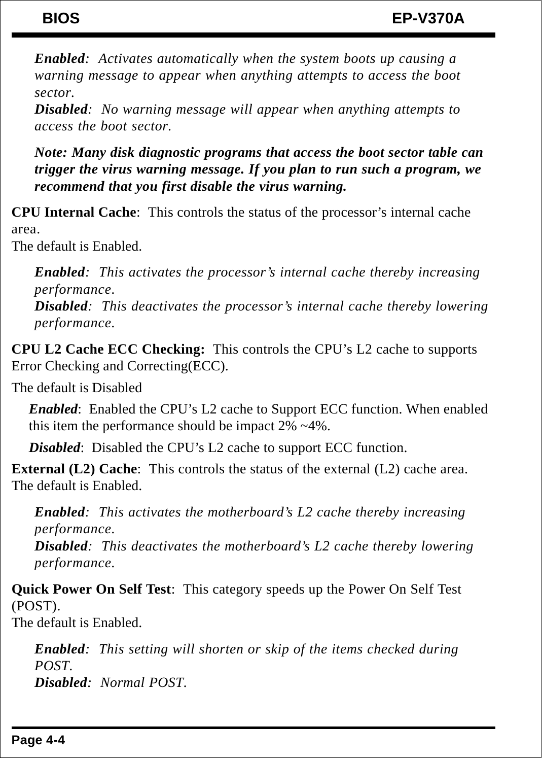*Enabled: Activates automatically when the system boots up causing a warning message to appear when anything attempts to access the boot sector.*

*Disabled: No warning message will appear when anything attempts to access the boot sector.*

*Note: Many disk diagnostic programs that access the boot sector table can trigger the virus warning message. If you plan to run such a program, we recommend that you first disable the virus warning.*

**CPU Internal Cache**: This controls the status of the processor's internal cache area.

The default is Enabled.

*Enabled: This activates the processor's internal cache thereby increasing performance. Disabled: This deactivates the processor's internal cache thereby lowering performance.*

**CPU L2 Cache ECC Checking:** This controls the CPU's L2 cache to supports Error Checking and Correcting(ECC).

The default is Disabled

*Enabled*: Enabled the CPU's L2 cache to Support ECC function. When enabled this item the performance should be impact 2% ~4%.

*Disabled*: Disabled the CPU's L2 cache to support ECC function.

**External (L2) Cache:** This controls the status of the external (L2) cache area. The default is Enabled.

*Enabled: This activates the motherboard's L2 cache thereby increasing performance.*

*Disabled: This deactivates the motherboard's L2 cache thereby lowering performance.*

**Quick Power On Self Test**: This category speeds up the Power On Self Test (POST).

The default is Enabled.

*Enabled: This setting will shorten or skip of the items checked during POST. Disabled: Normal POST.*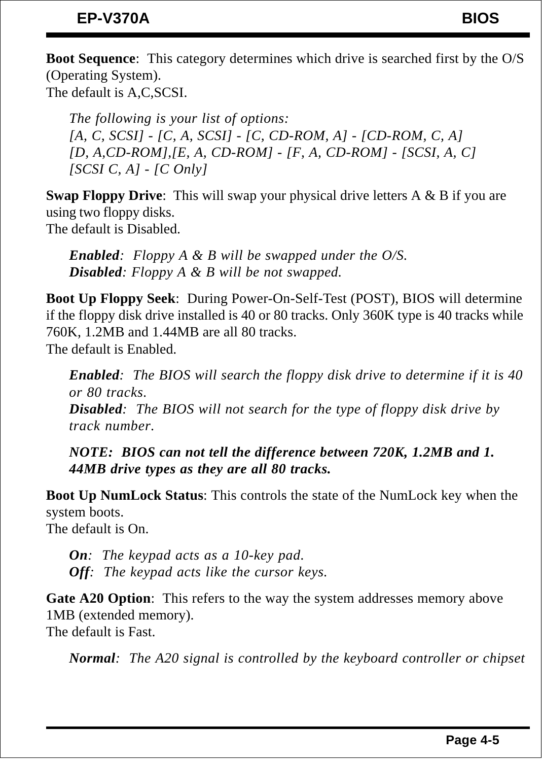**Boot Sequence**: This category determines which drive is searched first by the O/S (Operating System).

The default is A,C,SCSI.

*The following is your list of options: [A, C, SCSI] - [C, A, SCSI] - [C, CD-ROM, A] - [CD-ROM, C, A] [D, A,CD-ROM],[E, A, CD-ROM] - [F, A, CD-ROM] - [SCSI, A, C] [SCSI C, A] - [C Only]*

**Swap Floppy Drive:** This will swap your physical drive letters A & B if you are using two floppy disks. The default is Disabled.

*Enabled: Floppy A & B will be swapped under the O/S. Disabled: Floppy A & B will be not swapped.*

**Boot Up Floppy Seek**: During Power-On-Self-Test (POST), BIOS will determine if the floppy disk drive installed is 40 or 80 tracks. Only 360K type is 40 tracks while 760K, 1.2MB and 1.44MB are all 80 tracks. The default is Enabled.

*Enabled: The BIOS will search the floppy disk drive to determine if it is 40 or 80 tracks. Disabled: The BIOS will not search for the type of floppy disk drive by track number.*

*NOTE: BIOS can not tell the difference between 720K, 1.2MB and 1. 44MB drive types as they are all 80 tracks.*

**Boot Up NumLock Status**: This controls the state of the NumLock key when the system boots. The default is On.

*On: The keypad acts as a 10-key pad. Off: The keypad acts like the cursor keys.*

**Gate A20 Option**: This refers to the way the system addresses memory above 1MB (extended memory).

The default is Fast.

*Normal: The A20 signal is controlled by the keyboard controller or chipset*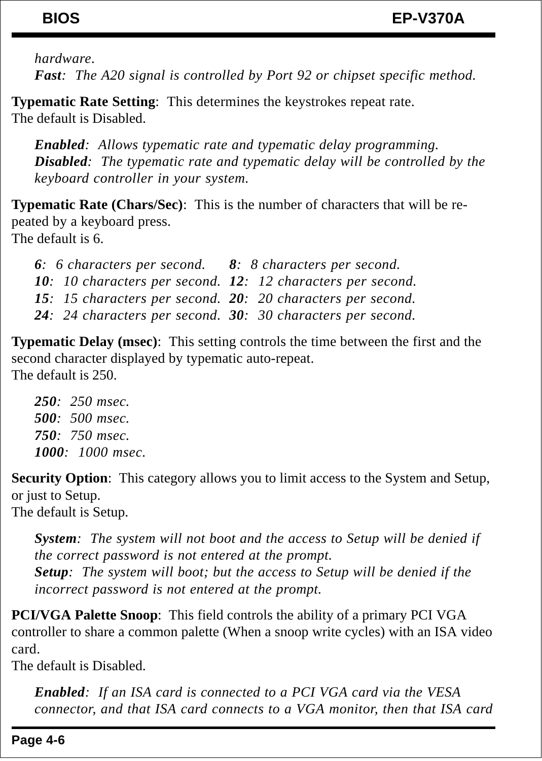*hardware.*

*Fast: The A20 signal is controlled by Port 92 or chipset specific method.*

**Typematic Rate Setting**: This determines the keystrokes repeat rate. The default is Disabled.

*Enabled: Allows typematic rate and typematic delay programming. Disabled: The typematic rate and typematic delay will be controlled by the keyboard controller in your system.*

**Typematic Rate (Chars/Sec)**: This is the number of characters that will be repeated by a keyboard press. The default is 6.

*: 6 characters per second. 8: 8 characters per second. : 10 characters per second. 12: 12 characters per second. : 15 characters per second. 20: 20 characters per second. : 24 characters per second. 30: 30 characters per second.*

**Typematic Delay (msec)**: This setting controls the time between the first and the second character displayed by typematic auto-repeat. The default is 250.

*: 250 msec. : 500 msec. : 750 msec. : 1000 msec.*

**Security Option**: This category allows you to limit access to the System and Setup, or just to Setup.

The default is Setup.

*System: The system will not boot and the access to Setup will be denied if the correct password is not entered at the prompt. Setup: The system will boot; but the access to Setup will be denied if the incorrect password is not entered at the prompt.*

**PCI/VGA Palette Snoop**: This field controls the ability of a primary PCI VGA controller to share a common palette (When a snoop write cycles) with an ISA video card.

The default is Disabled.

*Enabled: If an ISA card is connected to a PCI VGA card via the VESA connector, and that ISA card connects to a VGA monitor, then that ISA card*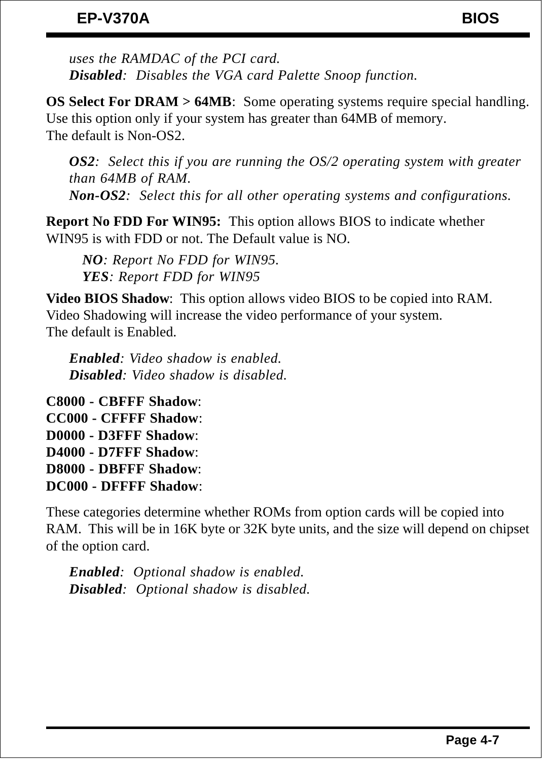*uses the RAMDAC of the PCI card. Disabled: Disables the VGA card Palette Snoop function.*

**OS Select For DRAM > 64MB**: Some operating systems require special handling. Use this option only if your system has greater than 64MB of memory. The default is Non-OS2.

*OS2: Select this if you are running the OS/2 operating system with greater than 64MB of RAM. Non-OS2: Select this for all other operating systems and configurations.*

**Report No FDD For WIN95:** This option allows BIOS to indicate whether WIN95 is with FDD or not. The Default value is NO.

*NO: Report No FDD for WIN95. YES: Report FDD for WIN95*

**Video BIOS Shadow**: This option allows video BIOS to be copied into RAM. Video Shadowing will increase the video performance of your system. The default is Enabled.

*Enabled: Video shadow is enabled. Disabled: Video shadow is disabled.*

**C8000 - CBFFF Shadow**: **CC000 - CFFFF Shadow**: **D0000 - D3FFF Shadow**: **D4000 - D7FFF Shadow**: **D8000 - DBFFF Shadow**: **DC000 - DFFFF Shadow**:

These categories determine whether ROMs from option cards will be copied into RAM. This will be in 16K byte or 32K byte units, and the size will depend on chipset of the option card.

*Enabled: Optional shadow is enabled. Disabled: Optional shadow is disabled.*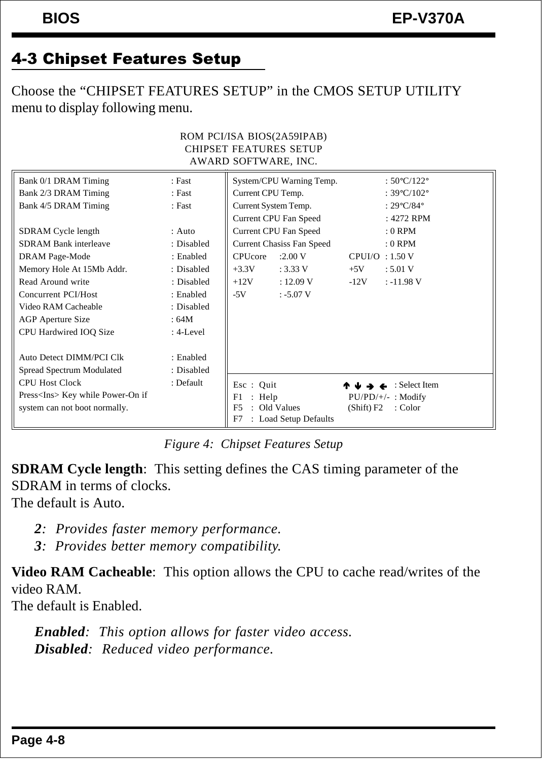### 4-3 Chipset Features Setup

Choose the "CHIPSET FEATURES SETUP" in the CMOS SETUP UTILITY menu to display following menu.

#### ROM PCI/ISA BIOS(2A59IPAB) CHIPSET FEATURES SETUP AWARD SOFTWARE, INC.

| Bank 0/1 DRAM Timing                    | : Fast       | System/CPU Warning Temp.<br>: $50^{\circ}$ C/122°       |
|-----------------------------------------|--------------|---------------------------------------------------------|
| Bank 2/3 DRAM Timing                    | : Fast       | Current CPU Temp.<br>: $39^{\circ}$ C/102°              |
| Bank 4/5 DRAM Timing                    | : Fast       | Current System Temp.<br>: $29^{\circ}$ C/84 $^{\circ}$  |
|                                         |              | Current CPU Fan Speed<br>: 4272 RPM                     |
| SDRAM Cycle length                      | : Auto       | Current CPU Fan Speed<br>$: 0$ RPM                      |
| <b>SDRAM Bank interleave</b>            | : Disabled   | Current Chasiss Fan Speed<br>$: 0$ RPM                  |
| DRAM Page-Mode                          | : Enabled    | CPUcore<br>$CPUIO$ : 1.50 V<br>:2.00 V                  |
| Memory Hole At 15Mb Addr.               | : Disabled   | $+3.3V$<br>: 3.33 V<br>: 5.01 V<br>$+5V$                |
| Read Around write                       | : Disabled   | $+12V$<br>: 12.09 V<br>$-12V$<br>$: -11.98$ V           |
| Concurrent PCI/Host                     | : Enabled    | $-5V$<br>$: -5.07$ V                                    |
| Video RAM Cacheable                     | : Disabled   |                                                         |
| <b>AGP</b> Aperture Size                | :64M         |                                                         |
| CPU Hardwired IOO Size                  | $: 4$ -Level |                                                         |
|                                         |              |                                                         |
| Auto Detect DIMM/PCI Clk                | : Enabled    |                                                         |
| Spread Spectrum Modulated               | : Disabled   |                                                         |
| <b>CPU Host Clock</b>                   | : Default    | Esc: Ouit<br>: Select Item                              |
| Press <ins> Key while Power-On if</ins> |              | : Help<br>F1<br>$PU/PD/+/-$ : Modify                    |
| system can not boot normally.           |              | : Old Values<br>F <sub>5</sub><br>(Shift) F2<br>: Color |
|                                         |              | F7<br>: Load Setup Defaults                             |

*Figure 4: Chipset Features Setup*

**SDRAM Cycle length**: This setting defines the CAS timing parameter of the SDRAM in terms of clocks.

The default is Auto.

- *2: Provides faster memory performance.*
- *3: Provides better memory compatibility.*

**Video RAM Cacheable**: This option allows the CPU to cache read/writes of the video RAM.

The default is Enabled.

*Enabled: This option allows for faster video access. Disabled: Reduced video performance.*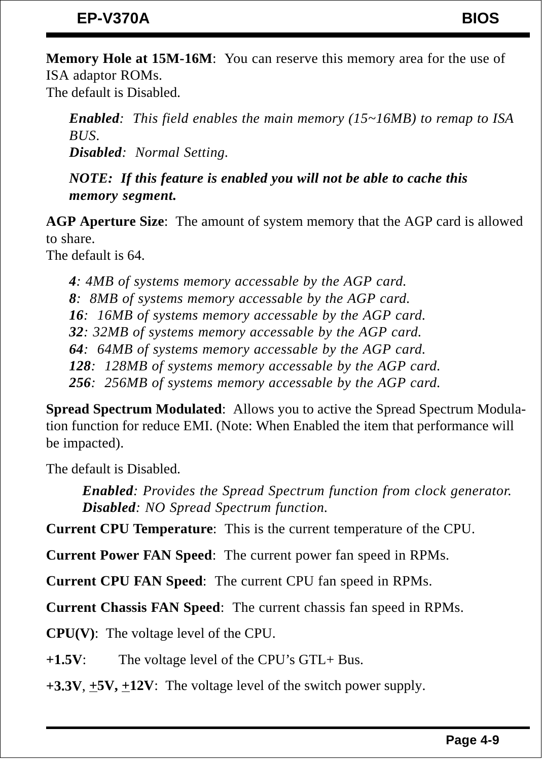**Memory Hole at 15M-16M**: You can reserve this memory area for the use of ISA adaptor ROMs.

The default is Disabled.

*Enabled: This field enables the main memory (15~16MB) to remap to ISA BUS. Disabled: Normal Setting.*

*NOTE: If this feature is enabled you will not be able to cache this memory segment.*

**AGP Aperture Size**: The amount of system memory that the AGP card is allowed to share.

The default is 64.

*: 4MB of systems memory accessable by the AGP card. : 8MB of systems memory accessable by the AGP card. : 16MB of systems memory accessable by the AGP card. : 32MB of systems memory accessable by the AGP card. : 64MB of systems memory accessable by the AGP card. : 128MB of systems memory accessable by the AGP card. : 256MB of systems memory accessable by the AGP card.*

**Spread Spectrum Modulated**: Allows you to active the Spread Spectrum Modulation function for reduce EMI. (Note: When Enabled the item that performance will be impacted).

The default is Disabled.

*Enabled: Provides the Spread Spectrum function from clock generator. Disabled: NO Spread Spectrum function.*

**Current CPU Temperature**: This is the current temperature of the CPU.

**Current Power FAN Speed**: The current power fan speed in RPMs.

**Current CPU FAN Speed**: The current CPU fan speed in RPMs.

**Current Chassis FAN Speed**: The current chassis fan speed in RPMs.

**CPU(V)**: The voltage level of the CPU.

**+1.5V**: The voltage level of the CPU's GTL+ Bus.

**+3.3V**, **+5V, +12V**: The voltage level of the switch power supply.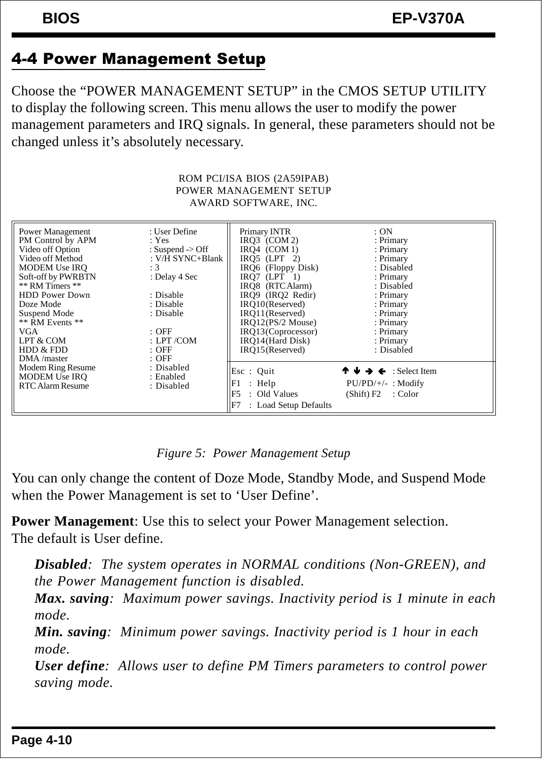### 4-4 Power Management Setup

Choose the "POWER MANAGEMENT SETUP" in the CMOS SETUP UTILITY to display the following screen. This menu allows the user to modify the power management parameters and IRQ signals. In general, these parameters should not be changed unless it's absolutely necessary.

#### ROM PCI/ISA BIOS (2A59IPAB) POWER MANAGEMENT SETUP AWARD SOFTWARE, INC.

| <b>Power Management</b><br>PM Control by APM<br>Video off Option<br>Video off Method<br><b>MODEM Use IRO</b><br>Soft-off by PWRBTN<br>** RM Timers **<br><b>HDD</b> Power Down<br>Doze Mode<br>Suspend Mode<br>** RM Events **<br>VGA<br>LPT & COM<br>HDD & FDD | : User Define<br>: Yes<br>: Suspend $\rightarrow$ Off<br>: V/H SYNC+Blank<br>:3<br>: Delay 4 Sec<br>: Disable<br>: Disable<br>: Disable<br>$:$ OFF<br>: LPT $/COM$<br>$:$ OFF | Primary INTR<br>$IRO3$ (COM 2)<br>IRO4 (COM 1)<br>$IRO5$ (LPT 2)<br>IRQ6 (Floppy Disk)<br>$IRO7$ (LPT 1)<br>IRO8 (RTC Alarm)<br>IRO9 (IRO2 Redir)<br>IRO10(Reserved)<br>IRO11 (Reserved)<br>$IRO12(PS/2 \text{ Mouse})$<br>IRQ13(Coprocessor)<br>IRO14(Hard Disk)<br>IRO15(Reserved) | :ON<br>: Primary<br>: Primary<br>: Primary<br>: Disabled<br>: Primary<br>: Disabled<br>: Primary<br>: Primary<br>: Primary<br>: Primary<br>: Primary<br>: Primary<br>: Disabled |
|-----------------------------------------------------------------------------------------------------------------------------------------------------------------------------------------------------------------------------------------------------------------|-------------------------------------------------------------------------------------------------------------------------------------------------------------------------------|--------------------------------------------------------------------------------------------------------------------------------------------------------------------------------------------------------------------------------------------------------------------------------------|---------------------------------------------------------------------------------------------------------------------------------------------------------------------------------|
| DMA /master<br>Modem Ring Resume<br><b>MODEM Use IRO</b><br>RTC Alarm Resume                                                                                                                                                                                    | $\therefore$ OFF<br>: Disabled<br>: Enabled<br>: Disabled                                                                                                                     | Esc: Ouit<br>F1 : Help<br>F5<br>: Old Values<br>F7<br>: Load Setup Defaults                                                                                                                                                                                                          | $\uparrow \uparrow \rightarrow \leftarrow$ : Select Item<br>$PU/PD/+/-$ : Modify<br>(Shift) F2<br>: Color                                                                       |

#### *Figure 5: Power Management Setup*

You can only change the content of Doze Mode, Standby Mode, and Suspend Mode when the Power Management is set to 'User Define'.

**Power Management**: Use this to select your Power Management selection. The default is User define.

*Disabled: The system operates in NORMAL conditions (Non-GREEN), and the Power Management function is disabled.*

*Max. saving: Maximum power savings. Inactivity period is 1 minute in each mode.*

*Min. saving: Minimum power savings. Inactivity period is 1 hour in each mode.*

*User define: Allows user to define PM Timers parameters to control power saving mode.*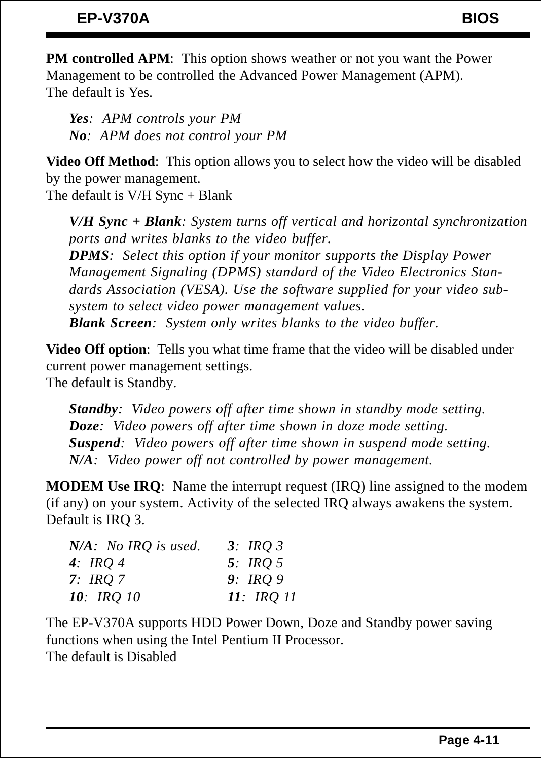**PM controlled APM**: This option shows weather or not you want the Power Management to be controlled the Advanced Power Management (APM). The default is Yes.

*Yes: APM controls your PM No: APM does not control your PM*

**Video Off Method**: This option allows you to select how the video will be disabled by the power management.

The default is V/H Sync + Blank

*V/H Sync + Blank: System turns off vertical and horizontal synchronization ports and writes blanks to the video buffer. DPMS: Select this option if your monitor supports the Display Power Management Signaling (DPMS) standard of the Video Electronics Standards Association (VESA). Use the software supplied for your video subsystem to select video power management values. Blank Screen: System only writes blanks to the video buffer.*

**Video Off option**: Tells you what time frame that the video will be disabled under current power management settings. The default is Standby.

*Standby: Video powers off after time shown in standby mode setting. Doze: Video powers off after time shown in doze mode setting. Suspend: Video powers off after time shown in suspend mode setting. N/A: Video power off not controlled by power management.*

**MODEM Use IRQ**: Name the interrupt request (IRQ) line assigned to the modem (if any) on your system. Activity of the selected IRQ always awakens the system. Default is IRQ 3.

| N/A: No IRQ is used. | 3: IRO.3     |
|----------------------|--------------|
| 4: IRO 4             | 5: $IRQ$ 5   |
| 7: IRO 7             | 9: IRO.9     |
| 10: IRQ 10           | $11:$ IRQ 11 |

The EP-V370A supports HDD Power Down, Doze and Standby power saving functions when using the Intel Pentium II Processor. The default is Disabled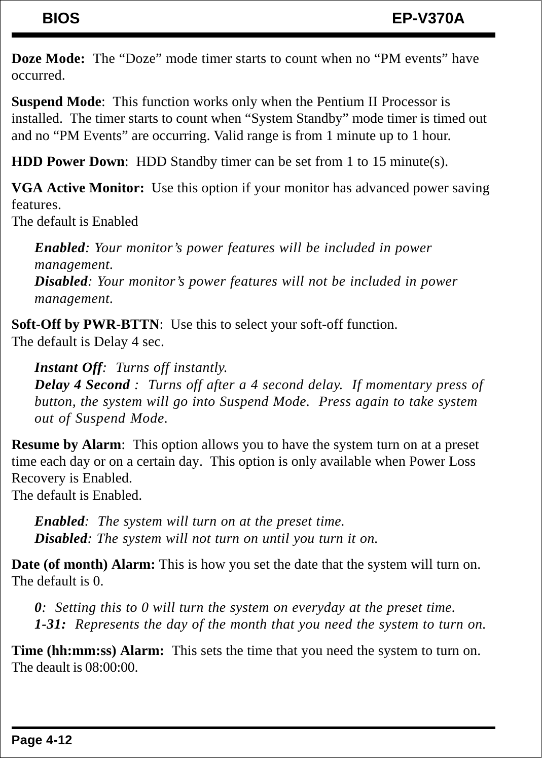**Doze Mode:** The "Doze" mode timer starts to count when no "PM events" have occurred.

**Suspend Mode**: This function works only when the Pentium II Processor is installed. The timer starts to count when "System Standby" mode timer is timed out and no "PM Events" are occurring. Valid range is from 1 minute up to 1 hour.

**HDD Power Down**: HDD Standby timer can be set from 1 to 15 minute(s).

**VGA Active Monitor:** Use this option if your monitor has advanced power saving features.

The default is Enabled

*Enabled: Your monitor's power features will be included in power management. Disabled: Your monitor's power features will not be included in power management.*

**Soft-Off by PWR-BTTN**: Use this to select your soft-off function. The default is Delay 4 sec.

*Instant Off: Turns off instantly. Delay 4 Second : Turns off after a 4 second delay. If momentary press of button, the system will go into Suspend Mode. Press again to take system out of Suspend Mode.*

**Resume by Alarm**: This option allows you to have the system turn on at a preset time each day or on a certain day. This option is only available when Power Loss Recovery is Enabled. The default is Enabled.

*Enabled: The system will turn on at the preset time. Disabled: The system will not turn on until you turn it on.*

**Date (of month) Alarm:** This is how you set the date that the system will turn on. The default is 0.

*0: Setting this to 0 will turn the system on everyday at the preset time. 1-31: Represents the day of the month that you need the system to turn on.*

**Time (hh:mm:ss) Alarm:** This sets the time that you need the system to turn on. The deault is  $08:00:00$ .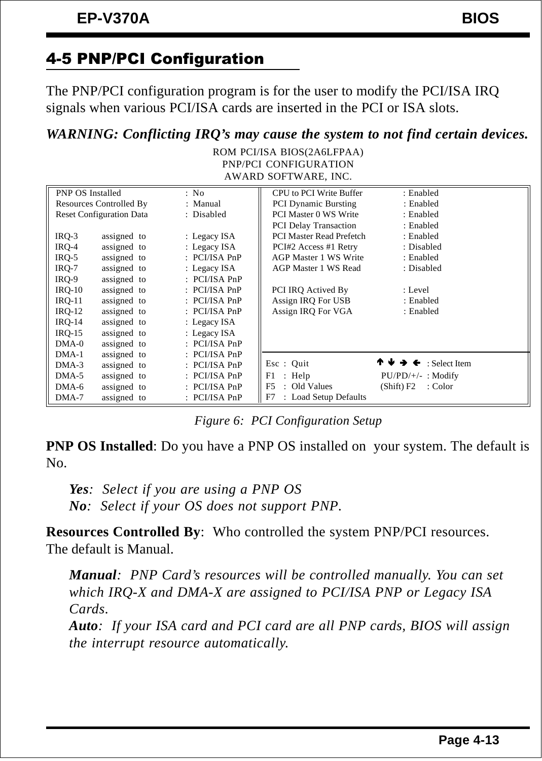The PNP/PCI configuration program is for the user to modify the PCI/ISA IRQ signals when various PCI/ISA cards are inserted in the PCI or ISA slots.

*WARNING: Conflicting IRQ's may cause the system to not find certain devices.* ROM PCI/ISA BIOS(2A6LFPAA)

| PNP/PCI CONFIGURATION<br>AWARD SOFTWARE, INC. |                                 |                         |                                 |                           |  |
|-----------------------------------------------|---------------------------------|-------------------------|---------------------------------|---------------------------|--|
|                                               |                                 |                         |                                 |                           |  |
| <b>PNP OS Installed</b>                       |                                 | : No                    | CPU to PCI Write Buffer         | : Enabled                 |  |
|                                               | Resources Controlled By         | : Manual                | <b>PCI Dynamic Bursting</b>     | : Enabled                 |  |
|                                               | <b>Reset Configuration Data</b> | : Disabled              | PCI Master 0 WS Write           | : Enabled                 |  |
|                                               |                                 |                         | <b>PCI Delay Transaction</b>    | : Enabled                 |  |
| $IRO-3$                                       | assigned to                     | : Legacy $ISA$          | <b>PCI Master Read Prefetch</b> | : Enabled                 |  |
| $IRO-4$                                       | assigned to                     | : Legacy $ISA$          | PCI#2 Access #1 Retry           | : Disabled                |  |
| $IRQ-5$                                       | assigned to                     | $: PCUISA$ PnP          | <b>AGP Master 1 WS Write</b>    | : Enabled                 |  |
| $IRQ-7$                                       | assigned to                     | : Legacy $ISA$          | AGP Master 1 WS Read            | : Disabled                |  |
| IRQ-9                                         | assigned to                     | : PCI/ISA PnP           |                                 |                           |  |
| $IRO-10$                                      | assigned to                     | : PCI/ISA PnP           | PCI IRO Actived By              | : Level                   |  |
| $IRO-11$                                      | assigned to                     | $: PCI/ISA$ PnP         | Assign IRO For USB              | : Enabled                 |  |
| $IRO-12$                                      | assigned to                     | : PCI/ISA PnP           | Assign IRO For VGA              | : Enabled                 |  |
| $IRO-14$                                      | assigned to                     | : Legacy ISA            |                                 |                           |  |
| $IRO-15$                                      | assigned to                     | $\therefore$ Legacy ISA |                                 |                           |  |
| $DMA-0$                                       | assigned to                     | : PCI/ISA PnP           |                                 |                           |  |
| $DMA-1$                                       | assigned to                     | : PCI/ISA PnP           |                                 |                           |  |
| $DMA-3$                                       | assigned to                     | : PCI/ISA PnP           | Esc : Quit                      | А ⊎<br>←<br>: Select Item |  |
| $DMA-5$                                       | assigned to                     | : PCI/ISA PnP           | F1<br>$\therefore$ Help         | $PU/PD/+/-$ : Modify      |  |
| $DMA-6$                                       | assigned to                     | : PCI/ISA PnP           | : Old Values<br>F5              | (Shift) F2<br>: Color     |  |
| $DMA-7$                                       | assigned to                     | : PCI/ISA PnP           | : Load Setup Defaults<br>F7     |                           |  |

*Figure 6: PCI Configuration Setup*

**PNP OS Installed**: Do you have a PNP OS installed on your system. The default is No.

*Yes: Select if you are using a PNP OS*

*No: Select if your OS does not support PNP.*

**Resources Controlled By**: Who controlled the system PNP/PCI resources. The default is Manual.

*Manual: PNP Card's resources will be controlled manually. You can set which IRQ-X and DMA-X are assigned to PCI/ISA PNP or Legacy ISA Cards.*

*Auto: If your ISA card and PCI card are all PNP cards, BIOS will assign the interrupt resource automatically.*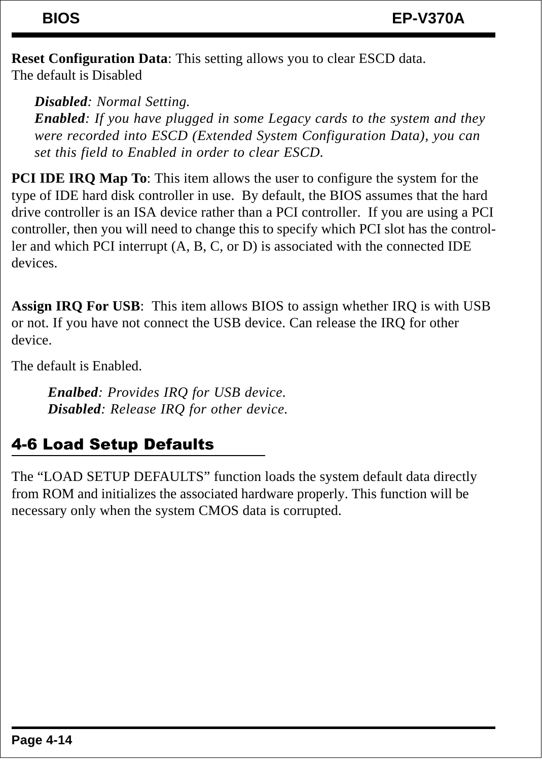**Reset Configuration Data**: This setting allows you to clear ESCD data. The default is Disabled

*Disabled: Normal Setting. Enabled: If you have plugged in some Legacy cards to the system and they were recorded into ESCD (Extended System Configuration Data), you can set this field to Enabled in order to clear ESCD.*

**PCI IDE IRQ Map To:** This item allows the user to configure the system for the type of IDE hard disk controller in use. By default, the BIOS assumes that the hard drive controller is an ISA device rather than a PCI controller. If you are using a PCI controller, then you will need to change this to specify which PCI slot has the controller and which PCI interrupt (A, B, C, or D) is associated with the connected IDE devices.

**Assign IRQ For USB**: This item allows BIOS to assign whether IRQ is with USB or not. If you have not connect the USB device. Can release the IRQ for other device.

The default is Enabled.

*Enalbed: Provides IRQ for USB device. Disabled: Release IRQ for other device.*

### 4-6 Load Setup Defaults

The "LOAD SETUP DEFAULTS" function loads the system default data directly from ROM and initializes the associated hardware properly. This function will be necessary only when the system CMOS data is corrupted.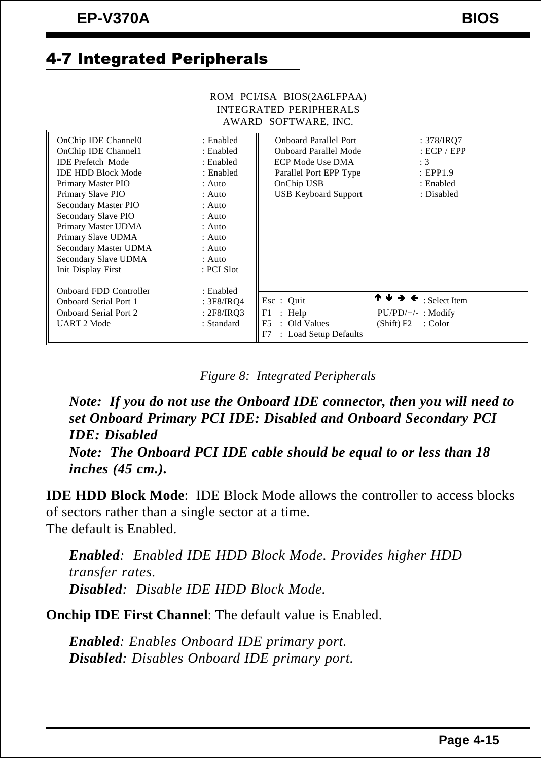### 4-7 Integrated Peripherals

| RUM PUJISA BIUS(ZA0LFPAA)<br>INTEGRATED PERIPHERALS<br>AWARD SOFTWARE, INC.                                                                                                                                                                                                                                       |                                                                                                                                                |                                                                                                                                                         |                                                                           |  |
|-------------------------------------------------------------------------------------------------------------------------------------------------------------------------------------------------------------------------------------------------------------------------------------------------------------------|------------------------------------------------------------------------------------------------------------------------------------------------|---------------------------------------------------------------------------------------------------------------------------------------------------------|---------------------------------------------------------------------------|--|
| OnChip IDE Channel0<br>OnChip IDE Channel1<br><b>IDE</b> Prefetch Mode<br><b>IDE HDD Block Mode</b><br>Primary Master PIO<br>Primary Slave PIO<br>Secondary Master PIO<br>Secondary Slave PIO<br>Primary Master UDMA<br>Primary Slave UDMA<br>Secondary Master UDMA<br>Secondary Slave UDMA<br>Init Display First | : Enabled<br>: Enabled<br>: Enabled<br>: Enabled<br>: Auto<br>: Auto<br>: Auto<br>: Auto<br>: Auto<br>: Auto<br>: Auto<br>: Auto<br>: PCI Slot | <b>Onboard Parallel Port</b><br><b>Onboard Parallel Mode</b><br>ECP Mode Use DMA<br>Parallel Port EPP Type<br>OnChip USB<br><b>USB Keyboard Support</b> | : 378/IRO7<br>ECP / EPP<br>:3<br>EPP1.9<br>: Enabled<br>: Disabled        |  |
| Onboard FDD Controller<br>Onboard Serial Port 1<br><b>Onboard Serial Port 2</b><br><b>UART 2 Mode</b>                                                                                                                                                                                                             | : Enabled<br>: 3F8/IRO4<br>: $2F8/IRO3$<br>: Standard                                                                                          | Esc : Quit<br>: Help<br>F1<br>: Old Values<br>F5<br>: Load Setup Defaults<br>F7                                                                         | ↑ ↓ → ←<br>: Select Item<br>$PU/PD/+/-$ : Modify<br>(Shift) F2<br>: Color |  |

ROM PCI/ISA BIOS(2A6LFPAA)

*Figure 8: Integrated Peripherals*

*Note: If you do not use the Onboard IDE connector, then you will need to set Onboard Primary PCI IDE: Disabled and Onboard Secondary PCI IDE: Disabled Note: The Onboard PCI IDE cable should be equal to or less than 18 inches (45 cm.).*

**IDE HDD Block Mode**: IDE Block Mode allows the controller to access blocks of sectors rather than a single sector at a time. The default is Enabled.

*Enabled: Enabled IDE HDD Block Mode. Provides higher HDD transfer rates. Disabled: Disable IDE HDD Block Mode.*

**Onchip IDE First Channel**: The default value is Enabled.

*Enabled: Enables Onboard IDE primary port. Disabled: Disables Onboard IDE primary port.*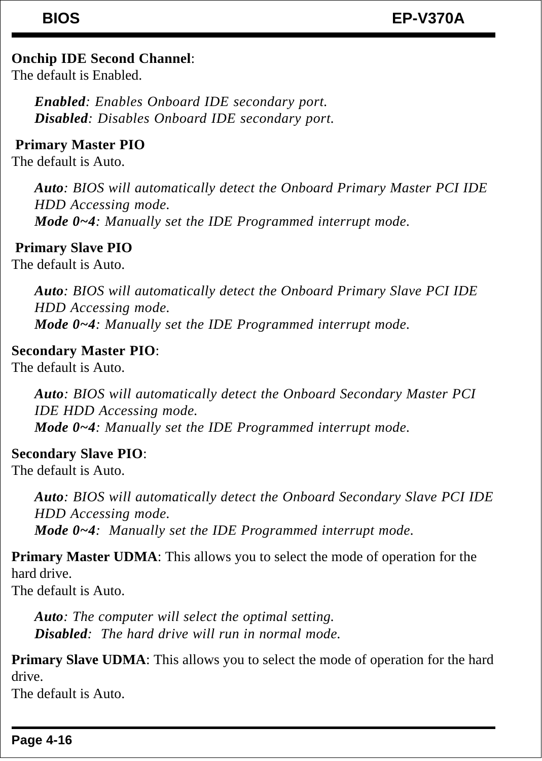### **Onchip IDE Second Channel**:

The default is Enabled.

*Enabled: Enables Onboard IDE secondary port. Disabled: Disables Onboard IDE secondary port.*

### **Primary Master PIO**

The default is Auto.

*Auto: BIOS will automatically detect the Onboard Primary Master PCI IDE HDD Accessing mode. Mode 0~4: Manually set the IDE Programmed interrupt mode.*

### **Primary Slave PIO**

The default is Auto.

*Auto: BIOS will automatically detect the Onboard Primary Slave PCI IDE HDD Accessing mode. Mode 0~4: Manually set the IDE Programmed interrupt mode.*

### **Secondary Master PIO**:

The default is Auto.

*Auto: BIOS will automatically detect the Onboard Secondary Master PCI IDE HDD Accessing mode. Mode 0~4: Manually set the IDE Programmed interrupt mode.*

### **Secondary Slave PIO**:

The default is Auto.

*Auto: BIOS will automatically detect the Onboard Secondary Slave PCI IDE HDD Accessing mode. Mode 0~4: Manually set the IDE Programmed interrupt mode.*

**Primary Master UDMA**: This allows you to select the mode of operation for the hard drive. The default is Auto.

*Auto: The computer will select the optimal setting. Disabled: The hard drive will run in normal mode.*

**Primary Slave UDMA**: This allows you to select the mode of operation for the hard drive.

The default is Auto.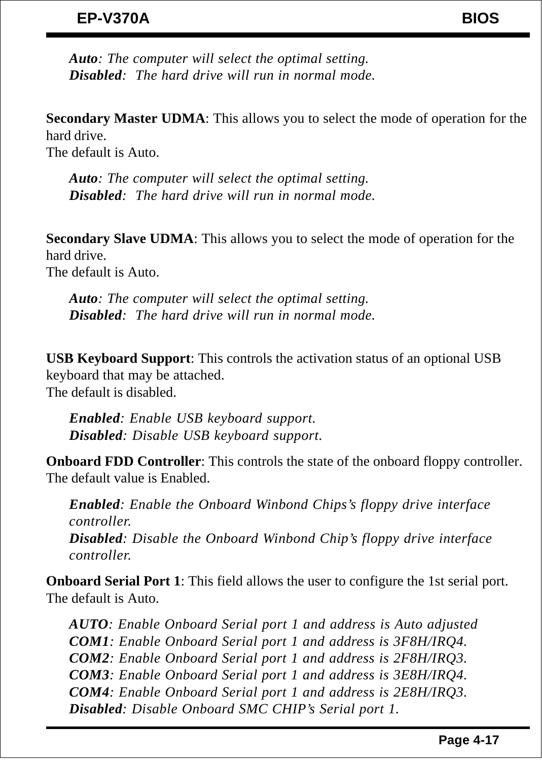*Auto: The computer will select the optimal setting. Disabled: The hard drive will run in normal mode.*

**Secondary Master UDMA**: This allows you to select the mode of operation for the hard drive.

The default is Auto.

*Auto: The computer will select the optimal setting. Disabled: The hard drive will run in normal mode.*

**Secondary Slave UDMA**: This allows you to select the mode of operation for the hard drive.

The default is Auto.

*Auto: The computer will select the optimal setting. Disabled: The hard drive will run in normal mode.*

**USB Keyboard Support**: This controls the activation status of an optional USB keyboard that may be attached. The default is disabled.

*Enabled: Enable USB keyboard support. Disabled: Disable USB keyboard support.*

**Onboard FDD Controller**: This controls the state of the onboard floppy controller. The default value is Enabled.

*Enabled: Enable the Onboard Winbond Chips's floppy drive interface controller. Disabled: Disable the Onboard Winbond Chip's floppy drive interface controller.*

**Onboard Serial Port 1**: This field allows the user to configure the 1st serial port. The default is Auto.

*AUTO: Enable Onboard Serial port 1 and address is Auto adjusted COM1: Enable Onboard Serial port 1 and address is 3F8H/IRQ4. COM2: Enable Onboard Serial port 1 and address is 2F8H/IRQ3. COM3: Enable Onboard Serial port 1 and address is 3E8H/IRQ4. COM4: Enable Onboard Serial port 1 and address is 2E8H/IRQ3. Disabled: Disable Onboard SMC CHIP's Serial port 1.*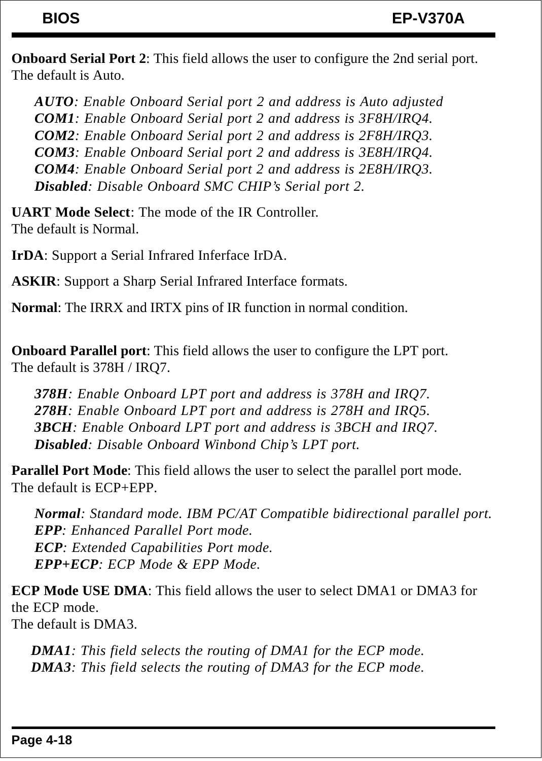**Onboard Serial Port 2**: This field allows the user to configure the 2nd serial port. The default is Auto.

*AUTO: Enable Onboard Serial port 2 and address is Auto adjusted COM1: Enable Onboard Serial port 2 and address is 3F8H/IRQ4. COM2: Enable Onboard Serial port 2 and address is 2F8H/IRQ3. COM3: Enable Onboard Serial port 2 and address is 3E8H/IRQ4. COM4: Enable Onboard Serial port 2 and address is 2E8H/IRQ3. Disabled: Disable Onboard SMC CHIP's Serial port 2.*

**UART Mode Select**: The mode of the IR Controller. The default is Normal.

**IrDA**: Support a Serial Infrared Inferface IrDA.

**ASKIR**: Support a Sharp Serial Infrared Interface formats.

**Normal**: The IRRX and IRTX pins of IR function in normal condition.

**Onboard Parallel port**: This field allows the user to configure the LPT port. The default is 378H / IRQ7.

*378H: Enable Onboard LPT port and address is 378H and IRQ7. 278H: Enable Onboard LPT port and address is 278H and IRQ5. 3BCH: Enable Onboard LPT port and address is 3BCH and IRQ7. Disabled: Disable Onboard Winbond Chip's LPT port.*

**Parallel Port Mode**: This field allows the user to select the parallel port mode. The default is ECP+EPP.

*Normal: Standard mode. IBM PC/AT Compatible bidirectional parallel port. EPP: Enhanced Parallel Port mode. ECP: Extended Capabilities Port mode. EPP+ECP: ECP Mode & EPP Mode.*

**ECP Mode USE DMA**: This field allows the user to select DMA1 or DMA3 for the ECP mode. The default is DMA3.

*DMA1: This field selects the routing of DMA1 for the ECP mode. DMA3: This field selects the routing of DMA3 for the ECP mode.*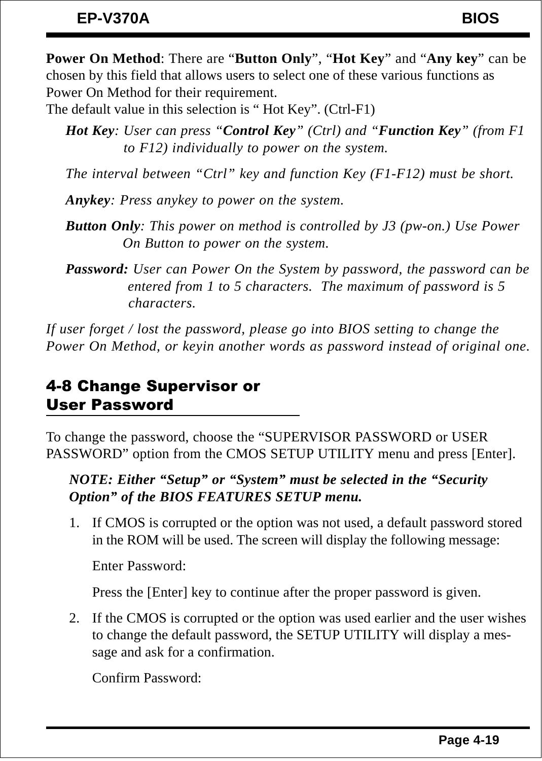**Power On Method**: There are "**Button Only**", "**Hot Key**" and "**Any key**" can be chosen by this field that allows users to select one of these various functions as Power On Method for their requirement.

The default value in this selection is " Hot Key". (Ctrl-F1)

*Hot Key: User can press "Control Key" (Ctrl) and "Function Key" (from F1 to F12) individually to power on the system.*

*The interval between "Ctrl" key and function Key (F1-F12) must be short.*

*Anykey: Press anykey to power on the system.*

*Button Only: This power on method is controlled by J3 (pw-on.) Use Power On Button to power on the system.*

*Password: User can Power On the System by password, the password can be entered from 1 to 5 characters. The maximum of password is 5 characters.*

*If user forget / lost the password, please go into BIOS setting to change the Power On Method, or keyin another words as password instead of original one.*

### 4-8 Change Supervisor or User Password

To change the password, choose the "SUPERVISOR PASSWORD or USER PASSWORD" option from the CMOS SETUP UTILITY menu and press [Enter].

*NOTE: Either "Setup" or "System" must be selected in the "Security Option" of the BIOS FEATURES SETUP menu.*

1. If CMOS is corrupted or the option was not used, a default password stored in the ROM will be used. The screen will display the following message:

Enter Password:

Press the [Enter] key to continue after the proper password is given.

2. If the CMOS is corrupted or the option was used earlier and the user wishes to change the default password, the SETUP UTILITY will display a message and ask for a confirmation.

Confirm Password: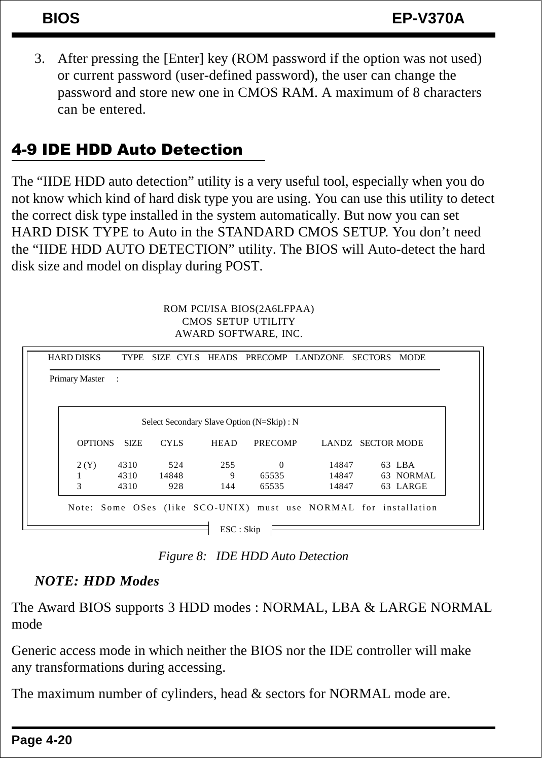3. After pressing the [Enter] key (ROM password if the option was not used) or current password (user-defined password), the user can change the password and store new one in CMOS RAM. A maximum of 8 characters can be entered.

### 4-9 IDE HDD Auto Detection

The "IIDE HDD auto detection" utility is a very useful tool, especially when you do not know which kind of hard disk type you are using. You can use this utility to detect the correct disk type installed in the system automatically. But now you can set HARD DISK TYPE to Auto in the STANDARD CMOS SETUP. You don't need the "IIDE HDD AUTO DETECTION" utility. The BIOS will Auto-detect the hard disk size and model on display during POST.

> ROM PCI/ISA BIOS(2A6LFPAA) CMOS SETUP UTILITY AWARD SOFTWARE, INC.

|                |             |       |             | Select Secondary Slave Option (N=Skip) : N |       |                   |           |
|----------------|-------------|-------|-------------|--------------------------------------------|-------|-------------------|-----------|
|                |             |       |             |                                            |       |                   |           |
| <b>OPTIONS</b> | <b>SIZE</b> | CYLS. | <b>HEAD</b> | <b>PRECOMP</b>                             |       | LANDZ SECTOR MODE |           |
| 2(Y)           | 4310        | 524   | 255         | $\Omega$                                   | 14847 |                   | 63 LBA    |
|                | 4310        | 14848 | 9           | 65535                                      | 14847 |                   | 63 NORMAL |
| 3              | 4310        | 928   | 144         | 65535                                      | 14847 |                   | 63 LARGE  |

*Figure 8: IDE HDD Auto Detection*

### *NOTE: HDD Modes*

The Award BIOS supports 3 HDD modes : NORMAL, LBA & LARGE NORMAL mode

Generic access mode in which neither the BIOS nor the IDE controller will make any transformations during accessing.

The maximum number of cylinders, head & sectors for NORMAL mode are.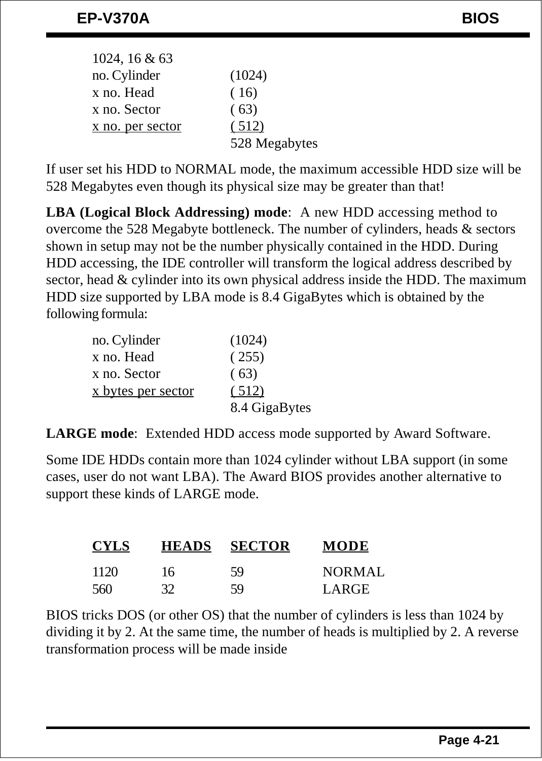| 1024, 16 $\&$ 63 |               |
|------------------|---------------|
| no. Cylinder     | (1024)        |
| x no. Head       | (16)          |
| x no. Sector     | (63)          |
| x no. per sector | (512)         |
|                  | 528 Megabytes |

If user set his HDD to NORMAL mode, the maximum accessible HDD size will be 528 Megabytes even though its physical size may be greater than that!

**LBA (Logical Block Addressing) mode**: A new HDD accessing method to overcome the 528 Megabyte bottleneck. The number of cylinders, heads & sectors shown in setup may not be the number physically contained in the HDD. During HDD accessing, the IDE controller will transform the logical address described by sector, head & cylinder into its own physical address inside the HDD. The maximum HDD size supported by LBA mode is 8.4 GigaBytes which is obtained by the following formula:

| (1024)        |
|---------------|
| (255)         |
| (63)          |
| (512)         |
| 8.4 GigaBytes |
|               |

**LARGE mode**: Extended HDD access mode supported by Award Software.

Some IDE HDDs contain more than 1024 cylinder without LBA support (in some cases, user do not want LBA). The Award BIOS provides another alternative to support these kinds of LARGE mode.

| <b>CYLS</b> | <b>HEADS</b> | <b>SECTOR</b> | <b>MODE</b> |
|-------------|--------------|---------------|-------------|
| 1120        | 16           | 59            | NORMAL      |
| 560         | 32.          | 59            | LARGE       |

BIOS tricks DOS (or other OS) that the number of cylinders is less than 1024 by dividing it by 2. At the same time, the number of heads is multiplied by 2. A reverse transformation process will be made inside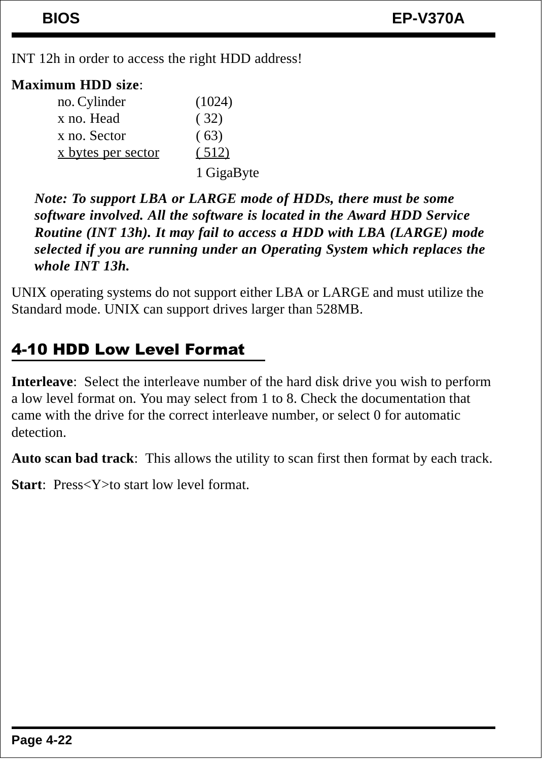INT 12h in order to access the right HDD address!

### **Maximum HDD size**:

| no. Cylinder       | (1024)     |
|--------------------|------------|
| x no. Head         | (32)       |
| x no. Sector       | (63)       |
| x bytes per sector | (512)      |
|                    | 1 GigaByte |

*Note: To support LBA or LARGE mode of HDDs, there must be some software involved. All the software is located in the Award HDD Service Routine (INT 13h). It may fail to access a HDD with LBA (LARGE) mode selected if you are running under an Operating System which replaces the whole INT 13h.*

UNIX operating systems do not support either LBA or LARGE and must utilize the Standard mode. UNIX can support drives larger than 528MB.

### 4-10 HDD Low Level Format

**Interleave**: Select the interleave number of the hard disk drive you wish to perform a low level format on. You may select from 1 to 8. Check the documentation that came with the drive for the correct interleave number, or select 0 for automatic detection.

**Auto scan bad track**: This allows the utility to scan first then format by each track.

**Start:** Press<Y>to start low level format.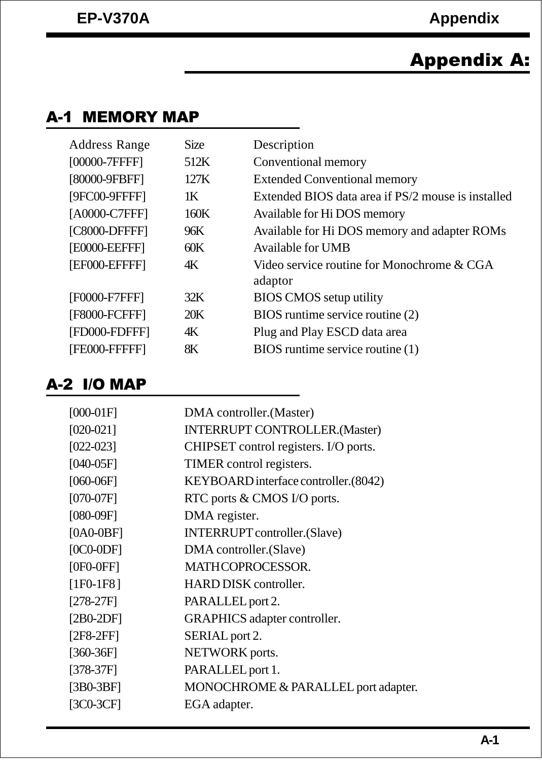# Appendix A:

### A-1 MEMORY MAP

| <b>Address Range</b> | <b>Size</b> | Description                                           |
|----------------------|-------------|-------------------------------------------------------|
| [00000-7FFFF]        | 512K        | Conventional memory                                   |
| [80000-9FBFF]        | 127K        | <b>Extended Conventional memory</b>                   |
| [9FC00-9FFFF]        | 1Κ          | Extended BIOS data area if PS/2 mouse is installed    |
| [A0000-C7FFF]        | 160K        | Available for Hi DOS memory                           |
| [C8000-DFFFF]        | 96K         | Available for Hi DOS memory and adapter ROMs          |
| [E0000-EEFFF]        | 60K         | Available for UMB                                     |
| <b>[EF000-EFFFF]</b> | 4K          | Video service routine for Monochrome & CGA<br>adaptor |
| [F0000-F7FFF]        | 32K         | <b>BIOS CMOS</b> setup utility                        |
| [F8000-FCFFF]        | 20K         | BIOS runtime service routine (2)                      |
| [FD000-FDFFF]        | 4K          | Plug and Play ESCD data area                          |
| <b>IFE000-FFFFFI</b> | 8K          | BIOS runtime service routine (1)                      |

### A-2 I/O MAP

| $[000-01$ Fl | DMA controller. (Master)              |
|--------------|---------------------------------------|
| $[020-021]$  | <b>INTERRUPT CONTROLLER.</b> (Master) |
| $[022-023]$  | CHIPSET control registers. I/O ports. |
| $[040-05F]$  | TIMER control registers.              |
| $[060-06F]$  | KEYBOARD interface controller. (8042) |
| $[070-07F]$  | RTC ports & CMOS I/O ports.           |
| $[080-09F]$  | DMA register.                         |
| $[0A0-0BF]$  | INTERRUPT controller. (Slave)         |
| $[0C0-0DF]$  | DMA controller. (Slave)               |
| $[0F0-0FF]$  | <b>MATHCOPROCESSOR.</b>               |
| $[1F0-1F8]$  | HARD DISK controller.                 |
| $[278-27F]$  | PARALLEL port 2.                      |
| $[2B0-2DF]$  | GRAPHICS adapter controller.          |
| $[2F8-2FF]$  | SERIAL port 2.                        |
| $[360-36F]$  | NETWORK ports.                        |
| $[378-37F]$  | PARALLEL port 1.                      |
| $[3B0-3BF]$  | MONOCHROME & PARALLEL port adapter.   |
| [3C0-3CF]    | EGA adapter.                          |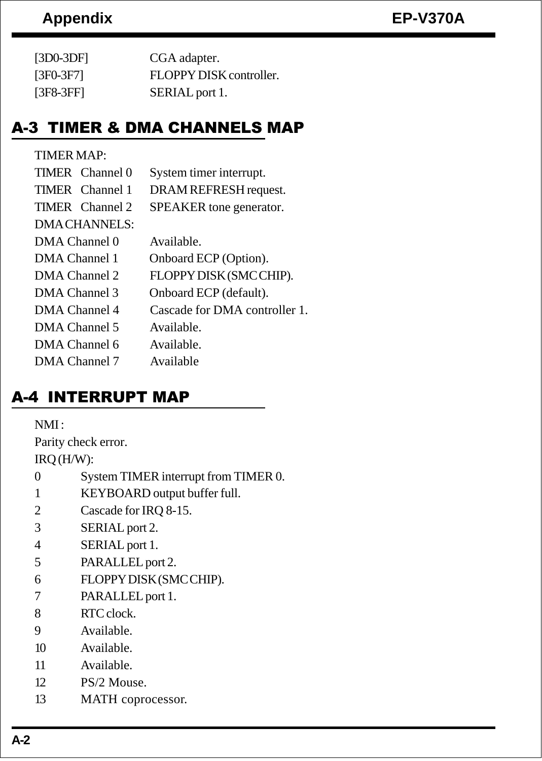### **Appendix EP-V370A**

| $[3D0-3DF]$ | CGA adapter.            |
|-------------|-------------------------|
| $[3F0-3F7]$ | FLOPPY DISK controller. |
| $[3F8-3FF]$ | SERIAL port 1.          |

### A-3 TIMER & DMA CHANNELS MAP

| <b>TIMER MAP:</b>      |                               |
|------------------------|-------------------------------|
| TIMER Channel 0        | System timer interrupt.       |
| <b>TIMER</b> Channel 1 | DRAM REFRESH request.         |
| <b>TIMER</b> Channel 2 | SPEAKER tone generator.       |
| DMA CHANNELS:          |                               |
| DMA Channel 0          | Available.                    |
| DMA Channel 1          | Onboard ECP (Option).         |
| DMA Channel 2          | FLOPPY DISK (SMCCHIP).        |
| DMA Channel 3          | Onboard ECP (default).        |
| DMA Channel 4          | Cascade for DMA controller 1. |
| DMA Channel 5          | Available.                    |
| DMA Channel 6          | Available.                    |
| DMA Channel 7          | Available                     |
|                        |                               |

### A-4 INTERRUPT MAP

NMI :

Parity check error.

IRQ (H/W):

- 0 System TIMER interrupt from TIMER 0.
- 1 KEYBOARD output buffer full.
- 2 Cascade for IRQ 8-15.
- 3 SERIAL port 2.
- 4 SERIAL port 1.
- 5 PARALLEL port 2.
- 6 FLOPPY DISK (SMC CHIP).
- 7 PARALLEL port 1.
- 8 RTC clock.
- 9 Available.
- 10 Available.
- 11 Available.
- 12 PS/2 Mouse.
- 13 MATH coprocessor.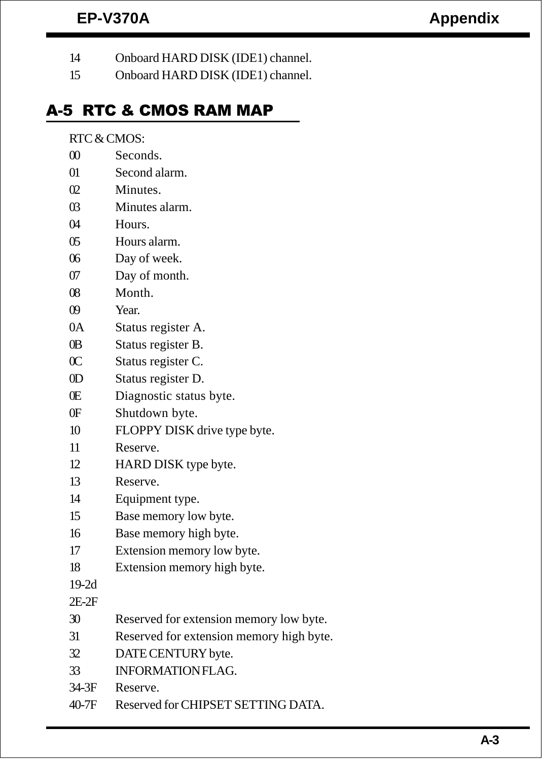- 14 Onboard HARD DISK (IDE1) channel.
- 15 Onboard HARD DISK (IDE1) channel.

### A-5 RTC & CMOS RAM MAP

RTC & CMOS:

- 00 Seconds.
- 01 Second alarm.
- 02 Minutes.
- 03 Minutes alarm.
- 04 Hours.
- 05 Hours alarm.
- 06 Day of week.
- 07 Day of month.
- 08 Month.
- 09 Year.
- 0A Status register A.
- 0B Status register B.
- 0C Status register C.
- 0D Status register D.
- 0E Diagnostic status byte.
- 0F Shutdown byte.
- 10 FLOPPY DISK drive type byte.
- 11 Reserve.
- 12 HARD DISK type byte.
- 13 Reserve.
- 14 Equipment type.
- 15 Base memory low byte.
- 16 Base memory high byte.
- 17 Extension memory low byte.
- 18 Extension memory high byte.
- 19-2d

2E-2F

- 30 Reserved for extension memory low byte.
- 31 Reserved for extension memory high byte.
- 32 DATE CENTURY byte.
- 33 INFORMATION FLAG.
- 34-3F Reserve.
- 40-7F Reserved for CHIPSET SETTING DATA.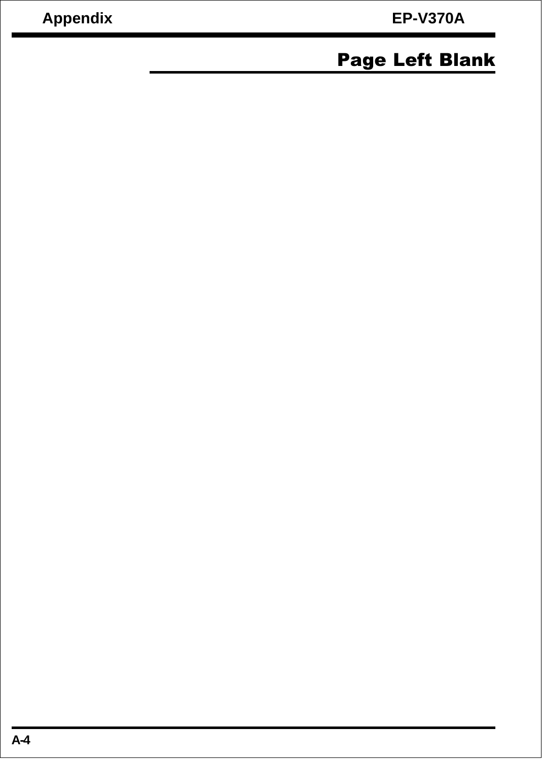# Page Left Blank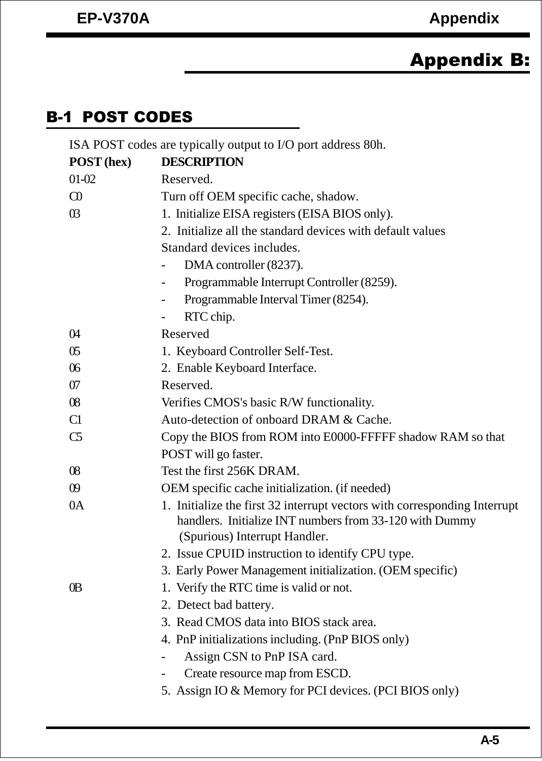# Appendix B:

### B-1 POST CODES

|                    | ISA POST codes are typically output to I/O port address 80h.                                                                                                          |  |
|--------------------|-----------------------------------------------------------------------------------------------------------------------------------------------------------------------|--|
| POST (hex)         | <b>DESCRIPTION</b>                                                                                                                                                    |  |
| 01-02              | Reserved.                                                                                                                                                             |  |
| $\Omega$           | Turn off OEM specific cache, shadow.                                                                                                                                  |  |
| $\boldsymbol{0}$ 3 | 1. Initialize EISA registers (EISA BIOS only).                                                                                                                        |  |
|                    | 2. Initialize all the standard devices with default values                                                                                                            |  |
|                    | Standard devices includes.                                                                                                                                            |  |
|                    | DMA controller (8237).                                                                                                                                                |  |
|                    | Programmable Interrupt Controller (8259).                                                                                                                             |  |
|                    | Programmable Interval Timer (8254).<br>$\overline{\phantom{0}}$                                                                                                       |  |
|                    | RTC chip.<br>$\overline{a}$                                                                                                                                           |  |
| 04                 | Reserved                                                                                                                                                              |  |
| 05                 | 1. Keyboard Controller Self-Test.                                                                                                                                     |  |
| 06                 | 2. Enable Keyboard Interface.                                                                                                                                         |  |
| 07                 | Reserved.                                                                                                                                                             |  |
| 08                 | Verifies CMOS's basic R/W functionality.                                                                                                                              |  |
| C1                 | Auto-detection of onboard DRAM & Cache.                                                                                                                               |  |
| $\mathbb{C}^5$     | Copy the BIOS from ROM into E0000-FFFFF shadow RAM so that                                                                                                            |  |
|                    | POST will go faster.                                                                                                                                                  |  |
| 08                 | Test the first 256K DRAM.                                                                                                                                             |  |
| 09                 | OEM specific cache initialization. (if needed)                                                                                                                        |  |
| 0A                 | 1. Initialize the first 32 interrupt vectors with corresponding Interrupt<br>handlers. Initialize INT numbers from 33-120 with Dummy<br>(Spurious) Interrupt Handler. |  |
|                    | 2. Issue CPUID instruction to identify CPU type.                                                                                                                      |  |
|                    | 3. Early Power Management initialization. (OEM specific)                                                                                                              |  |
| <b>OB</b>          | 1. Verify the RTC time is valid or not.                                                                                                                               |  |
|                    | 2. Detect bad battery.                                                                                                                                                |  |
|                    | 3. Read CMOS data into BIOS stack area.                                                                                                                               |  |
|                    | 4. PnP initializations including. (PnP BIOS only)                                                                                                                     |  |
|                    | Assign CSN to PnP ISA card.<br>$\overline{\phantom{0}}$                                                                                                               |  |
|                    | Create resource map from ESCD.                                                                                                                                        |  |
|                    | 5. Assign IO & Memory for PCI devices. (PCI BIOS only)                                                                                                                |  |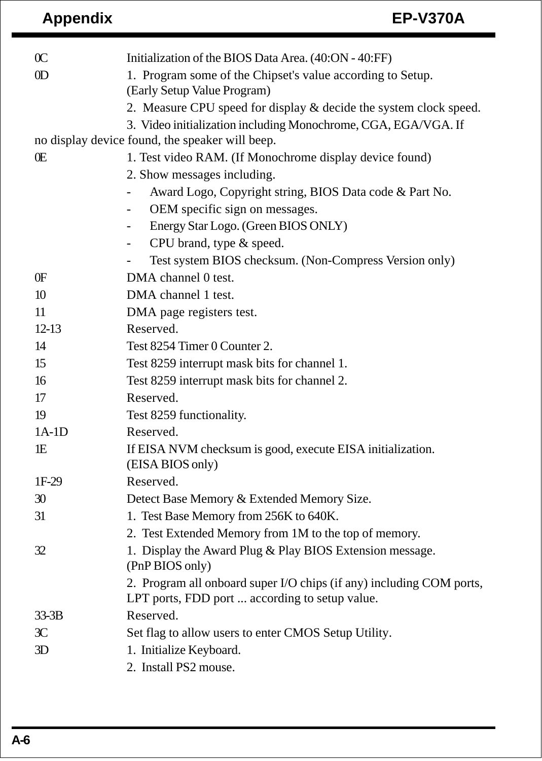| $\alpha$  | Initialization of the BIOS Data Area. (40:ON - 40:FF)                       |  |
|-----------|-----------------------------------------------------------------------------|--|
| 0D        | 1. Program some of the Chipset's value according to Setup.                  |  |
|           | (Early Setup Value Program)                                                 |  |
|           | 2. Measure CPU speed for display & decide the system clock speed.           |  |
|           | 3. Video initialization including Monochrome, CGA, EGA/VGA. If              |  |
|           | no display device found, the speaker will beep.                             |  |
| Œ         | 1. Test video RAM. (If Monochrome display device found)                     |  |
|           | 2. Show messages including.                                                 |  |
|           | Award Logo, Copyright string, BIOS Data code & Part No.                     |  |
|           | OEM specific sign on messages.<br>$\overline{\phantom{0}}$                  |  |
|           | Energy Star Logo. (Green BIOS ONLY)<br>$\overline{\phantom{a}}$             |  |
|           | CPU brand, type & speed.                                                    |  |
|           | Test system BIOS checksum. (Non-Compress Version only)                      |  |
| 0F        | DMA channel 0 test.                                                         |  |
| 10        | DMA channel 1 test.                                                         |  |
| 11        | DMA page registers test.                                                    |  |
| $12 - 13$ | Reserved.                                                                   |  |
| 14        | Test 8254 Timer 0 Counter 2.                                                |  |
| 15        | Test 8259 interrupt mask bits for channel 1.                                |  |
| 16        | Test 8259 interrupt mask bits for channel 2.                                |  |
| 17        | Reserved.                                                                   |  |
| 19        | Test 8259 functionality.                                                    |  |
| $1A-1D$   | Reserved.                                                                   |  |
| 1E        | If EISA NVM checksum is good, execute EISA initialization.                  |  |
|           | (EISA BIOS only)                                                            |  |
| 1F-29     | Reserved.                                                                   |  |
| 30        | Detect Base Memory & Extended Memory Size.                                  |  |
| 31        | 1. Test Base Memory from 256K to 640K.                                      |  |
|           | 2. Test Extended Memory from 1M to the top of memory.                       |  |
| 32        | 1. Display the Award Plug & Play BIOS Extension message.<br>(PnP BIOS only) |  |
|           | 2. Program all onboard super I/O chips (if any) including COM ports,        |  |
|           | LPT ports, FDD port  according to setup value.                              |  |
| $33-3B$   | Reserved.                                                                   |  |
| 3C        | Set flag to allow users to enter CMOS Setup Utility.                        |  |
| 3D        | 1. Initialize Keyboard.                                                     |  |
|           | 2. Install PS2 mouse.                                                       |  |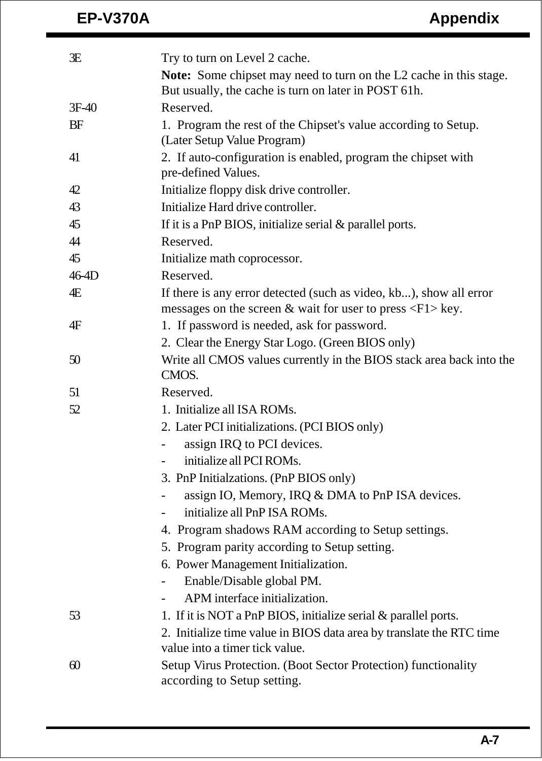| 3E    | Try to turn on Level 2 cache.                                                                                                           |  |
|-------|-----------------------------------------------------------------------------------------------------------------------------------------|--|
|       | Note: Some chipset may need to turn on the L2 cache in this stage.                                                                      |  |
|       | But usually, the cache is turn on later in POST 61h.                                                                                    |  |
| 3F-40 | Reserved.                                                                                                                               |  |
| BF    | 1. Program the rest of the Chipset's value according to Setup.<br>(Later Setup Value Program)                                           |  |
| 41    | 2. If auto-configuration is enabled, program the chipset with<br>pre-defined Values.                                                    |  |
| 42    | Initialize floppy disk drive controller.                                                                                                |  |
| 43    | Initialize Hard drive controller.                                                                                                       |  |
| 45    | If it is a PnP BIOS, initialize serial & parallel ports.                                                                                |  |
| 44    | Reserved.                                                                                                                               |  |
| 45    | Initialize math coprocessor.                                                                                                            |  |
| 46-4D | Reserved.                                                                                                                               |  |
| 4E    | If there is any error detected (such as video, kb), show all error<br>messages on the screen $\&$ wait for user to press <f1> key.</f1> |  |
| 4F    | 1. If password is needed, ask for password.                                                                                             |  |
|       | 2. Clear the Energy Star Logo. (Green BIOS only)                                                                                        |  |
| 50    | Write all CMOS values currently in the BIOS stack area back into the<br>CMOS.                                                           |  |
| 51    | Reserved.                                                                                                                               |  |
| 52    | 1. Initialize all ISA ROMs.                                                                                                             |  |
|       | 2. Later PCI initializations. (PCI BIOS only)                                                                                           |  |
|       | assign IRQ to PCI devices.<br>-                                                                                                         |  |
|       | initialize all PCI ROMs.                                                                                                                |  |
|       | 3. PnP Initialzations. (PnP BIOS only)                                                                                                  |  |
|       | assign IO, Memory, IRQ & DMA to PnP ISA devices.                                                                                        |  |
|       | initialize all PnP ISA ROMs.                                                                                                            |  |
|       | 4. Program shadows RAM according to Setup settings.                                                                                     |  |
|       | 5. Program parity according to Setup setting.                                                                                           |  |
|       | 6. Power Management Initialization.                                                                                                     |  |
|       | Enable/Disable global PM.<br>÷,                                                                                                         |  |
|       | APM interface initialization.                                                                                                           |  |
| 53    | 1. If it is NOT a PnP BIOS, initialize serial & parallel ports.                                                                         |  |
|       | 2. Initialize time value in BIOS data area by translate the RTC time                                                                    |  |
|       | value into a timer tick value.                                                                                                          |  |
| 60    | Setup Virus Protection. (Boot Sector Protection) functionality<br>according to Setup setting.                                           |  |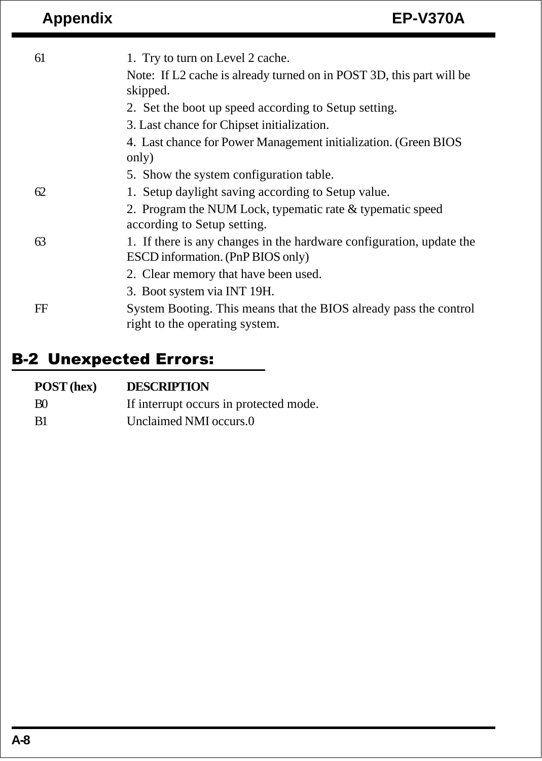| <b>Appendix</b> | <b>EP-V370A</b>                                                                                           |
|-----------------|-----------------------------------------------------------------------------------------------------------|
| 61              | 1. Try to turn on Level 2 cache.                                                                          |
|                 | Note: If L2 cache is already turned on in POST 3D, this part will be<br>skipped.                          |
|                 | 2. Set the boot up speed according to Setup setting.                                                      |
|                 | 3. Last chance for Chipset initialization.                                                                |
|                 | 4. Last chance for Power Management initialization. (Green BIOS<br>only)                                  |
|                 | 5. Show the system configuration table.                                                                   |
| 62              | 1. Setup daylight saving according to Setup value.                                                        |
|                 | 2. Program the NUM Lock, typematic rate & typematic speed<br>according to Setup setting.                  |
| 63              | 1. If there is any changes in the hardware configuration, update the<br>ESCD information. (PnP BIOS only) |
|                 | 2. Clear memory that have been used.                                                                      |
|                 | 3. Boot system via INT 19H.                                                                               |
| FF              | System Booting. This means that the BIOS already pass the control<br>right to the operating system.       |

# B-2 Unexpected Errors:

| POST (hex) | <b>DESCRIPTION</b>                     |
|------------|----------------------------------------|
| BO.        | If interrupt occurs in protected mode. |
| B1         | Unclaimed NMI occurs.0                 |